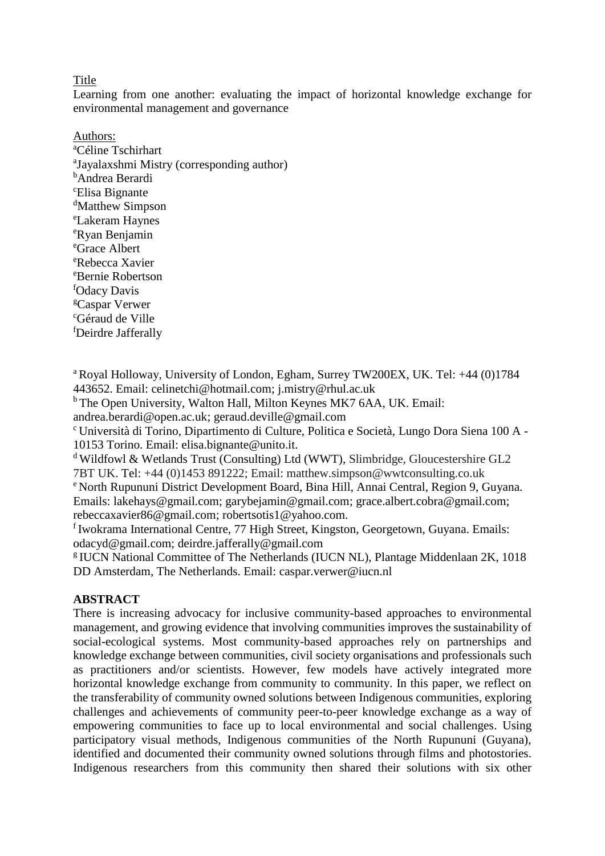#### **Title**

Learning from one another: evaluating the impact of horizontal knowledge exchange for environmental management and governance

Authors: <sup>a</sup>Céline Tschirhart a Jayalaxshmi Mistry (corresponding author) <sup>b</sup>Andrea Berardi <sup>c</sup>Elisa Bignante <sup>d</sup>Matthew Simpson <sup>e</sup>Lakeram Haynes <sup>e</sup>Ryan Benjamin <sup>e</sup>Grace Albert <sup>e</sup>Rebecca Xavier <sup>e</sup>Bernie Robertson <sup>f</sup>Odacy Davis <sup>g</sup>Caspar Verwer <sup>c</sup>Géraud de Ville <sup>f</sup>Deirdre Jafferally

<sup>a</sup> Royal Holloway, University of London, Egham, Surrey TW200EX, UK. Tel: +44 (0)1784 443652. Email: celinetchi@hotmail.com; j.mistry@rhul.ac.uk

<sup>b</sup> The Open University, Walton Hall, Milton Keynes MK7 6AA, UK. Email: andrea.berardi@open.ac.uk; geraud.deville@gmail.com

<sup>c</sup> Università di Torino, Dipartimento di Culture, Politica e Società, Lungo Dora Siena 100 A - 10153 Torino. Email: elisa.bignante@unito.it.

<sup>d</sup> Wildfowl & Wetlands Trust (Consulting) Ltd (WWT), Slimbridge, Gloucestershire GL2 7BT UK. Tel: +44 (0)1453 891222; Email: matthew.simpson@wwtconsulting.co.uk <sup>e</sup> North Rupununi District Development Board, Bina Hill, Annai Central, Region 9, Guyana. Emails: lakehays@gmail.com; garybejamin@gmail.com; grace.albert.cobra@gmail.com; rebeccaxavier86@gmail.com; robertsotis1@yahoo.com.

 $f$ Iwokrama International Centre, 77 High Street, Kingston, Georgetown, Guyana. Emails: odacyd@gmail.com; deirdre.jafferally@gmail.com

<sup>g</sup> IUCN National Committee of The Netherlands (IUCN NL), Plantage Middenlaan 2K, 1018 DD Amsterdam, The Netherlands. Email: caspar.verwer@iucn.nl

# **ABSTRACT**

There is increasing advocacy for inclusive community-based approaches to environmental management, and growing evidence that involving communities improves the sustainability of social-ecological systems. Most community-based approaches rely on partnerships and knowledge exchange between communities, civil society organisations and professionals such as practitioners and/or scientists. However, few models have actively integrated more horizontal knowledge exchange from community to community. In this paper, we reflect on the transferability of community owned solutions between Indigenous communities, exploring challenges and achievements of community peer-to-peer knowledge exchange as a way of empowering communities to face up to local environmental and social challenges. Using participatory visual methods, Indigenous communities of the North Rupununi (Guyana), identified and documented their community owned solutions through films and photostories. Indigenous researchers from this community then shared their solutions with six other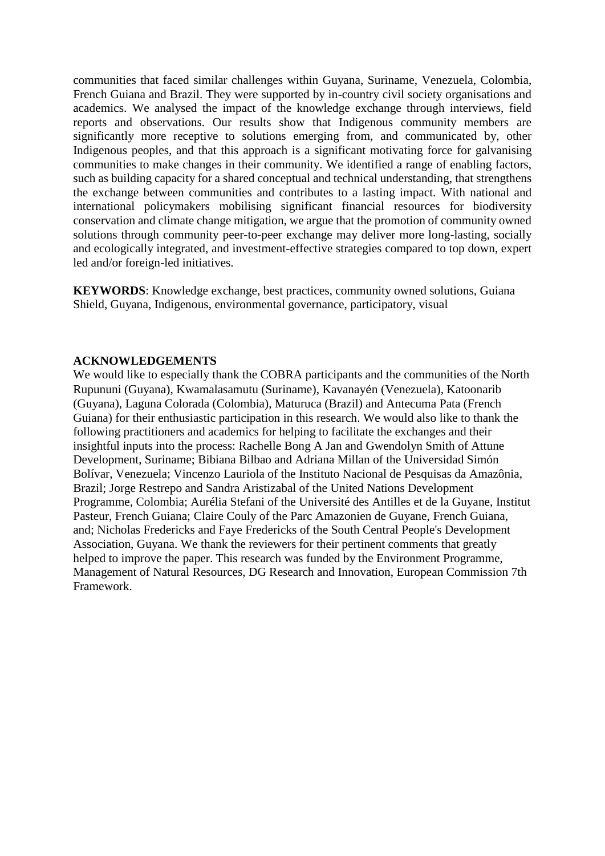communities that faced similar challenges within Guyana, Suriname, Venezuela, Colombia, French Guiana and Brazil. They were supported by in-country civil society organisations and academics. We analysed the impact of the knowledge exchange through interviews, field reports and observations. Our results show that Indigenous community members are significantly more receptive to solutions emerging from, and communicated by, other Indigenous peoples, and that this approach is a significant motivating force for galvanising communities to make changes in their community. We identified a range of enabling factors, such as building capacity for a shared conceptual and technical understanding, that strengthens the exchange between communities and contributes to a lasting impact. With national and international policymakers mobilising significant financial resources for biodiversity conservation and climate change mitigation, we argue that the promotion of community owned solutions through community peer-to-peer exchange may deliver more long-lasting, socially and ecologically integrated, and investment-effective strategies compared to top down, expert led and/or foreign-led initiatives.

**KEYWORDS**: Knowledge exchange, best practices, community owned solutions, Guiana Shield, Guyana, Indigenous, environmental governance, participatory, visual

#### **ACKNOWLEDGEMENTS**

We would like to especially thank the COBRA participants and the communities of the North Rupununi (Guyana), Kwamalasamutu (Suriname), Kavanayén (Venezuela), Katoonarib (Guyana), Laguna Colorada (Colombia), Maturuca (Brazil) and Antecuma Pata (French Guiana) for their enthusiastic participation in this research. We would also like to thank the following practitioners and academics for helping to facilitate the exchanges and their insightful inputs into the process: Rachelle Bong A Jan and Gwendolyn Smith of Attune Development, Suriname; Bibiana Bilbao and Adriana Millan of the Universidad Simón Bolívar, Venezuela; Vincenzo Lauriola of the Instituto Nacional de Pesquisas da Amazônia, Brazil; Jorge Restrepo and Sandra Aristizabal of the United Nations Development Programme, Colombia; Aurélia Stefani of the Université des Antilles et de la Guyane, Institut Pasteur, French Guiana; Claire Couly of the Parc Amazonien de Guyane, French Guiana, and; Nicholas Fredericks and Faye Fredericks of the South Central People's Development Association, Guyana. We thank the reviewers for their pertinent comments that greatly helped to improve the paper. This research was funded by the Environment Programme, Management of Natural Resources, DG Research and Innovation, European Commission 7th Framework.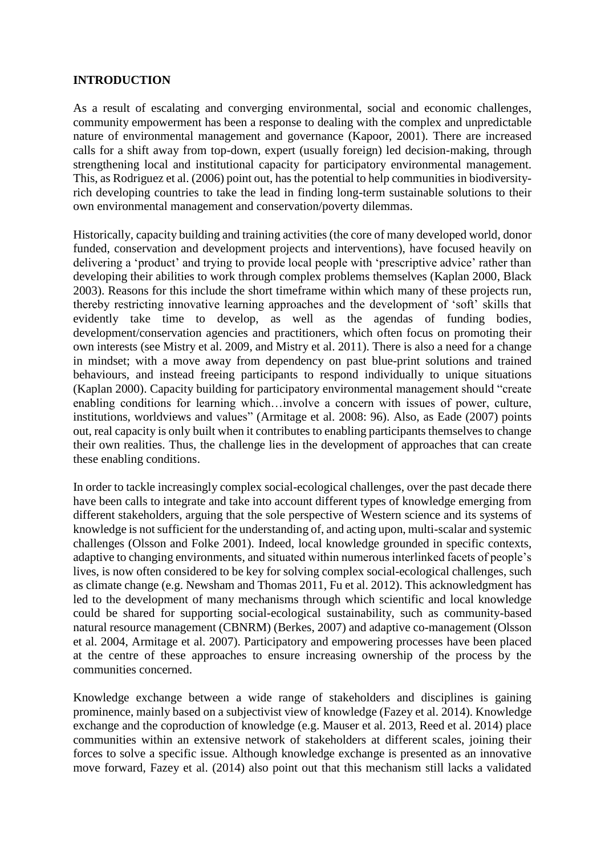### **INTRODUCTION**

As a result of escalating and converging environmental, social and economic challenges, community empowerment has been a response to dealing with the complex and unpredictable nature of environmental management and governance (Kapoor, 2001). There are increased calls for a shift away from top-down, expert (usually foreign) led decision-making, through strengthening local and institutional capacity for participatory environmental management. This, as Rodriguez et al. (2006) point out, has the potential to help communities in biodiversityrich developing countries to take the lead in finding long-term sustainable solutions to their own environmental management and conservation/poverty dilemmas.

Historically, capacity building and training activities (the core of many developed world, donor funded, conservation and development projects and interventions), have focused heavily on delivering a 'product' and trying to provide local people with 'prescriptive advice' rather than developing their abilities to work through complex problems themselves (Kaplan 2000, Black 2003). Reasons for this include the short timeframe within which many of these projects run, thereby restricting innovative learning approaches and the development of 'soft' skills that evidently take time to develop, as well as the agendas of funding bodies, development/conservation agencies and practitioners, which often focus on promoting their own interests (see Mistry et al. 2009, and Mistry et al. 2011). There is also a need for a change in mindset; with a move away from dependency on past blue-print solutions and trained behaviours, and instead freeing participants to respond individually to unique situations (Kaplan 2000). Capacity building for participatory environmental management should "create enabling conditions for learning which…involve a concern with issues of power, culture, institutions, worldviews and values" (Armitage et al. 2008: 96). Also, as Eade (2007) points out, real capacity is only built when it contributes to enabling participants themselves to change their own realities. Thus, the challenge lies in the development of approaches that can create these enabling conditions.

In order to tackle increasingly complex social-ecological challenges, over the past decade there have been calls to integrate and take into account different types of knowledge emerging from different stakeholders, arguing that the sole perspective of Western science and its systems of knowledge is not sufficient for the understanding of, and acting upon, multi-scalar and systemic challenges (Olsson and Folke 2001). Indeed, local knowledge grounded in specific contexts, adaptive to changing environments, and situated within numerous interlinked facets of people's lives, is now often considered to be key for solving complex social-ecological challenges, such as climate change (e.g. Newsham and Thomas 2011, Fu et al. 2012). This acknowledgment has led to the development of many mechanisms through which scientific and local knowledge could be shared for supporting social-ecological sustainability, such as community-based natural resource management (CBNRM) (Berkes, 2007) and adaptive co-management (Olsson et al. 2004, Armitage et al. 2007). Participatory and empowering processes have been placed at the centre of these approaches to ensure increasing ownership of the process by the communities concerned.

Knowledge exchange between a wide range of stakeholders and disciplines is gaining prominence, mainly based on a subjectivist view of knowledge (Fazey et al. 2014). Knowledge exchange and the coproduction of knowledge (e.g. Mauser et al. 2013, Reed et al. 2014) place communities within an extensive network of stakeholders at different scales, joining their forces to solve a specific issue. Although knowledge exchange is presented as an innovative move forward, Fazey et al. (2014) also point out that this mechanism still lacks a validated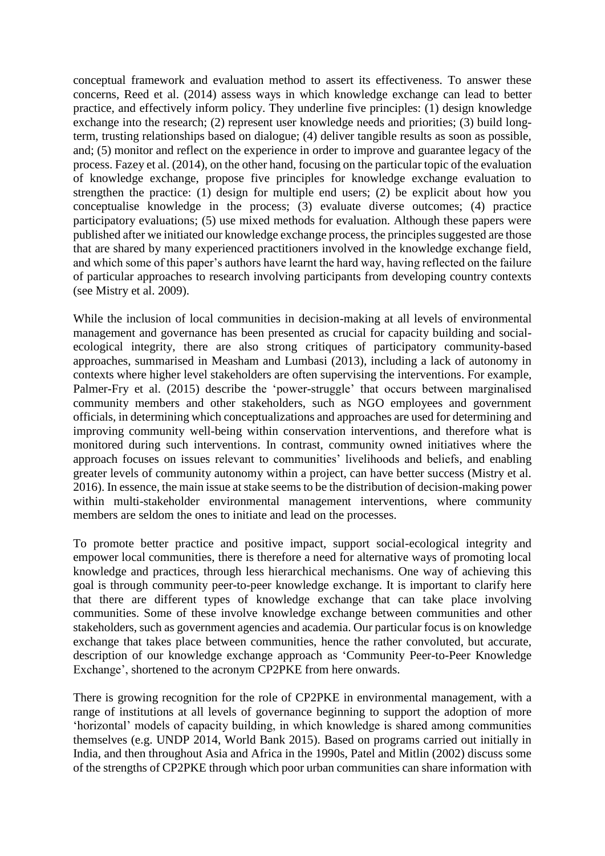conceptual framework and evaluation method to assert its effectiveness. To answer these concerns, Reed et al. (2014) assess ways in which knowledge exchange can lead to better practice, and effectively inform policy. They underline five principles: (1) design knowledge exchange into the research; (2) represent user knowledge needs and priorities; (3) build longterm, trusting relationships based on dialogue; (4) deliver tangible results as soon as possible, and; (5) monitor and reflect on the experience in order to improve and guarantee legacy of the process. Fazey et al. (2014), on the other hand, focusing on the particular topic of the evaluation of knowledge exchange, propose five principles for knowledge exchange evaluation to strengthen the practice: (1) design for multiple end users; (2) be explicit about how you conceptualise knowledge in the process; (3) evaluate diverse outcomes; (4) practice participatory evaluations; (5) use mixed methods for evaluation. Although these papers were published after we initiated our knowledge exchange process, the principles suggested are those that are shared by many experienced practitioners involved in the knowledge exchange field, and which some of this paper's authors have learnt the hard way, having reflected on the failure of particular approaches to research involving participants from developing country contexts (see Mistry et al. 2009).

While the inclusion of local communities in decision-making at all levels of environmental management and governance has been presented as crucial for capacity building and socialecological integrity, there are also strong critiques of participatory community-based approaches, summarised in Measham and Lumbasi (2013), including a lack of autonomy in contexts where higher level stakeholders are often supervising the interventions. For example, Palmer-Fry et al. (2015) describe the 'power-struggle' that occurs between marginalised community members and other stakeholders, such as NGO employees and government officials, in determining which conceptualizations and approaches are used for determining and improving community well-being within conservation interventions, and therefore what is monitored during such interventions. In contrast, community owned initiatives where the approach focuses on issues relevant to communities' livelihoods and beliefs, and enabling greater levels of community autonomy within a project, can have better success (Mistry et al. 2016). In essence, the main issue at stake seems to be the distribution of decision-making power within multi-stakeholder environmental management interventions, where community members are seldom the ones to initiate and lead on the processes.

To promote better practice and positive impact, support social-ecological integrity and empower local communities, there is therefore a need for alternative ways of promoting local knowledge and practices, through less hierarchical mechanisms. One way of achieving this goal is through community peer-to-peer knowledge exchange. It is important to clarify here that there are different types of knowledge exchange that can take place involving communities. Some of these involve knowledge exchange between communities and other stakeholders, such as government agencies and academia. Our particular focus is on knowledge exchange that takes place between communities, hence the rather convoluted, but accurate, description of our knowledge exchange approach as 'Community Peer-to-Peer Knowledge Exchange', shortened to the acronym CP2PKE from here onwards.

There is growing recognition for the role of CP2PKE in environmental management, with a range of institutions at all levels of governance beginning to support the adoption of more 'horizontal' models of capacity building, in which knowledge is shared among communities themselves (e.g. UNDP 2014, World Bank 2015). Based on programs carried out initially in India, and then throughout Asia and Africa in the 1990s, Patel and Mitlin (2002) discuss some of the strengths of CP2PKE through which poor urban communities can share information with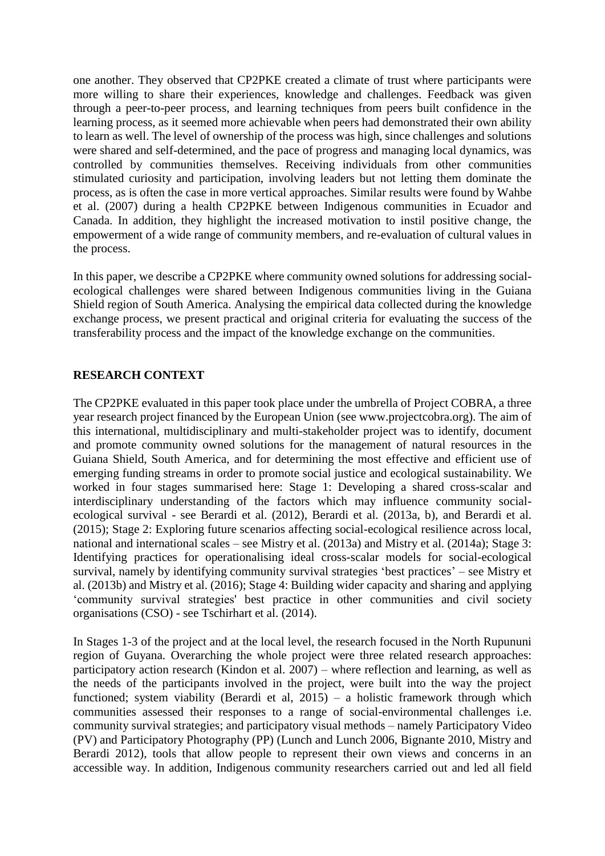one another. They observed that CP2PKE created a climate of trust where participants were more willing to share their experiences, knowledge and challenges. Feedback was given through a peer-to-peer process, and learning techniques from peers built confidence in the learning process, as it seemed more achievable when peers had demonstrated their own ability to learn as well. The level of ownership of the process was high, since challenges and solutions were shared and self-determined, and the pace of progress and managing local dynamics, was controlled by communities themselves. Receiving individuals from other communities stimulated curiosity and participation, involving leaders but not letting them dominate the process, as is often the case in more vertical approaches. Similar results were found by Wahbe et al. (2007) during a health CP2PKE between Indigenous communities in Ecuador and Canada. In addition, they highlight the increased motivation to instil positive change, the empowerment of a wide range of community members, and re-evaluation of cultural values in the process.

In this paper, we describe a CP2PKE where community owned solutions for addressing socialecological challenges were shared between Indigenous communities living in the Guiana Shield region of South America. Analysing the empirical data collected during the knowledge exchange process, we present practical and original criteria for evaluating the success of the transferability process and the impact of the knowledge exchange on the communities.

### **RESEARCH CONTEXT**

The CP2PKE evaluated in this paper took place under the umbrella of Project COBRA, a three year research project financed by the European Union (see www.projectcobra.org). The aim of this international, multidisciplinary and multi-stakeholder project was to identify, document and promote community owned solutions for the management of natural resources in the Guiana Shield, South America, and for determining the most effective and efficient use of emerging funding streams in order to promote social justice and ecological sustainability. We worked in four stages summarised here: Stage 1: Developing a shared cross-scalar and interdisciplinary understanding of the factors which may influence community socialecological survival - see Berardi et al. (2012), Berardi et al. (2013a, b), and Berardi et al. (2015); Stage 2: Exploring future scenarios affecting social-ecological resilience across local, national and international scales – see Mistry et al. (2013a) and Mistry et al. (2014a); Stage 3: Identifying practices for operationalising ideal cross-scalar models for social-ecological survival, namely by identifying community survival strategies 'best practices' – see Mistry et al. (2013b) and Mistry et al. (2016); Stage 4: Building wider capacity and sharing and applying 'community survival strategies' best practice in other communities and civil society organisations (CSO) - see Tschirhart et al. (2014).

In Stages 1-3 of the project and at the local level, the research focused in the North Rupununi region of Guyana. Overarching the whole project were three related research approaches: participatory action research (Kindon et al. 2007) – where reflection and learning, as well as the needs of the participants involved in the project, were built into the way the project functioned; system viability (Berardi et al,  $2015$ ) – a holistic framework through which communities assessed their responses to a range of social-environmental challenges i.e. community survival strategies; and participatory visual methods – namely Participatory Video (PV) and Participatory Photography (PP) (Lunch and Lunch 2006, Bignante 2010, Mistry and Berardi 2012), tools that allow people to represent their own views and concerns in an accessible way. In addition, Indigenous community researchers carried out and led all field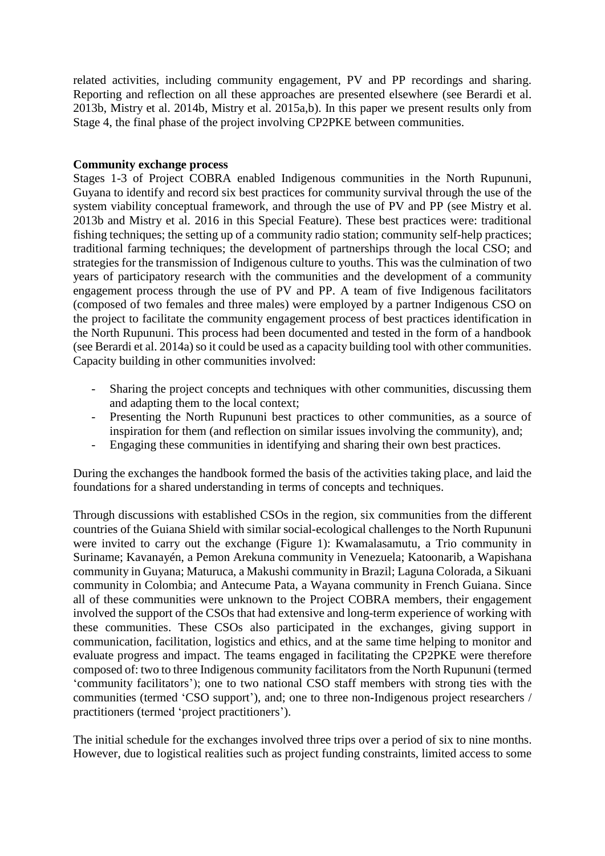related activities, including community engagement, PV and PP recordings and sharing. Reporting and reflection on all these approaches are presented elsewhere (see Berardi et al. 2013b, Mistry et al. 2014b, Mistry et al. 2015a,b). In this paper we present results only from Stage 4, the final phase of the project involving CP2PKE between communities.

#### **Community exchange process**

Stages 1-3 of Project COBRA enabled Indigenous communities in the North Rupununi, Guyana to identify and record six best practices for community survival through the use of the system viability conceptual framework, and through the use of PV and PP (see Mistry et al. 2013b and Mistry et al. 2016 in this Special Feature). These best practices were: traditional fishing techniques; the setting up of a community radio station; community self-help practices; traditional farming techniques; the development of partnerships through the local CSO; and strategies for the transmission of Indigenous culture to youths. This was the culmination of two years of participatory research with the communities and the development of a community engagement process through the use of PV and PP. A team of five Indigenous facilitators (composed of two females and three males) were employed by a partner Indigenous CSO on the project to facilitate the community engagement process of best practices identification in the North Rupununi. This process had been documented and tested in the form of a handbook (see Berardi et al. 2014a) so it could be used as a capacity building tool with other communities. Capacity building in other communities involved:

- Sharing the project concepts and techniques with other communities, discussing them and adapting them to the local context;
- Presenting the North Rupununi best practices to other communities, as a source of inspiration for them (and reflection on similar issues involving the community), and;
- Engaging these communities in identifying and sharing their own best practices.

During the exchanges the handbook formed the basis of the activities taking place, and laid the foundations for a shared understanding in terms of concepts and techniques.

Through discussions with established CSOs in the region, six communities from the different countries of the Guiana Shield with similar social-ecological challenges to the North Rupununi were invited to carry out the exchange (Figure 1): Kwamalasamutu, a Trio community in Suriname; Kavanayén, a Pemon Arekuna community in Venezuela; Katoonarib, a Wapishana community in Guyana; Maturuca, a Makushi community in Brazil; Laguna Colorada, a Sikuani community in Colombia; and Antecume Pata, a Wayana community in French Guiana. Since all of these communities were unknown to the Project COBRA members, their engagement involved the support of the CSOs that had extensive and long-term experience of working with these communities. These CSOs also participated in the exchanges, giving support in communication, facilitation, logistics and ethics, and at the same time helping to monitor and evaluate progress and impact. The teams engaged in facilitating the CP2PKE were therefore composed of: two to three Indigenous community facilitators from the North Rupununi (termed 'community facilitators'); one to two national CSO staff members with strong ties with the communities (termed 'CSO support'), and; one to three non-Indigenous project researchers / practitioners (termed 'project practitioners').

The initial schedule for the exchanges involved three trips over a period of six to nine months. However, due to logistical realities such as project funding constraints, limited access to some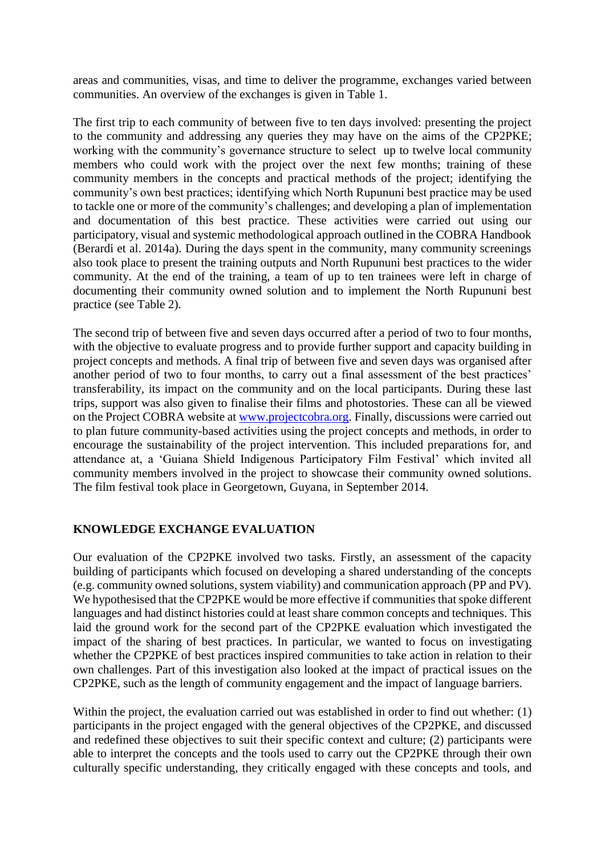areas and communities, visas, and time to deliver the programme, exchanges varied between communities. An overview of the exchanges is given in Table 1.

The first trip to each community of between five to ten days involved: presenting the project to the community and addressing any queries they may have on the aims of the CP2PKE; working with the community's governance structure to select up to twelve local community members who could work with the project over the next few months; training of these community members in the concepts and practical methods of the project; identifying the community's own best practices; identifying which North Rupununi best practice may be used to tackle one or more of the community's challenges; and developing a plan of implementation and documentation of this best practice. These activities were carried out using our participatory, visual and systemic methodological approach outlined in the COBRA Handbook (Berardi et al. 2014a). During the days spent in the community, many community screenings also took place to present the training outputs and North Rupununi best practices to the wider community. At the end of the training, a team of up to ten trainees were left in charge of documenting their community owned solution and to implement the North Rupununi best practice (see Table 2).

The second trip of between five and seven days occurred after a period of two to four months, with the objective to evaluate progress and to provide further support and capacity building in project concepts and methods. A final trip of between five and seven days was organised after another period of two to four months, to carry out a final assessment of the best practices' transferability, its impact on the community and on the local participants. During these last trips, support was also given to finalise their films and photostories. These can all be viewed on the Project COBRA website at [www.projectcobra.org.](http://www.projectcobra.org/) Finally, discussions were carried out to plan future community-based activities using the project concepts and methods, in order to encourage the sustainability of the project intervention. This included preparations for, and attendance at, a 'Guiana Shield Indigenous Participatory Film Festival' which invited all community members involved in the project to showcase their community owned solutions. The film festival took place in Georgetown, Guyana, in September 2014.

# **KNOWLEDGE EXCHANGE EVALUATION**

Our evaluation of the CP2PKE involved two tasks. Firstly, an assessment of the capacity building of participants which focused on developing a shared understanding of the concepts (e.g. community owned solutions, system viability) and communication approach (PP and PV). We hypothesised that the CP2PKE would be more effective if communities that spoke different languages and had distinct histories could at least share common concepts and techniques. This laid the ground work for the second part of the CP2PKE evaluation which investigated the impact of the sharing of best practices. In particular, we wanted to focus on investigating whether the CP2PKE of best practices inspired communities to take action in relation to their own challenges. Part of this investigation also looked at the impact of practical issues on the CP2PKE, such as the length of community engagement and the impact of language barriers.

Within the project, the evaluation carried out was established in order to find out whether: (1) participants in the project engaged with the general objectives of the CP2PKE, and discussed and redefined these objectives to suit their specific context and culture; (2) participants were able to interpret the concepts and the tools used to carry out the CP2PKE through their own culturally specific understanding, they critically engaged with these concepts and tools, and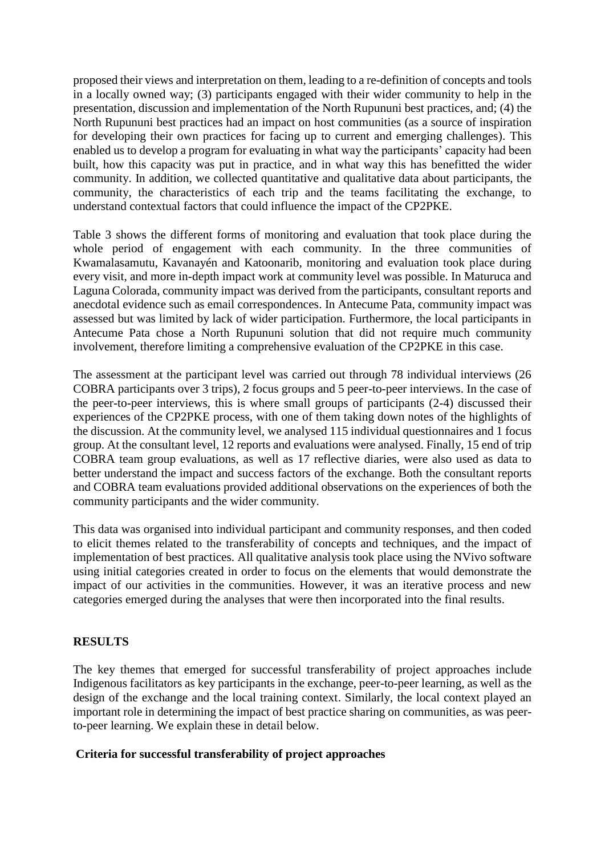proposed their views and interpretation on them, leading to a re-definition of concepts and tools in a locally owned way; (3) participants engaged with their wider community to help in the presentation, discussion and implementation of the North Rupununi best practices, and; (4) the North Rupununi best practices had an impact on host communities (as a source of inspiration for developing their own practices for facing up to current and emerging challenges). This enabled us to develop a program for evaluating in what way the participants' capacity had been built, how this capacity was put in practice, and in what way this has benefitted the wider community. In addition, we collected quantitative and qualitative data about participants, the community, the characteristics of each trip and the teams facilitating the exchange, to understand contextual factors that could influence the impact of the CP2PKE.

Table 3 shows the different forms of monitoring and evaluation that took place during the whole period of engagement with each community. In the three communities of Kwamalasamutu, Kavanayén and Katoonarib, monitoring and evaluation took place during every visit, and more in-depth impact work at community level was possible. In Maturuca and Laguna Colorada, community impact was derived from the participants, consultant reports and anecdotal evidence such as email correspondences. In Antecume Pata, community impact was assessed but was limited by lack of wider participation. Furthermore, the local participants in Antecume Pata chose a North Rupununi solution that did not require much community involvement, therefore limiting a comprehensive evaluation of the CP2PKE in this case.

The assessment at the participant level was carried out through 78 individual interviews (26 COBRA participants over 3 trips), 2 focus groups and 5 peer-to-peer interviews. In the case of the peer-to-peer interviews, this is where small groups of participants (2-4) discussed their experiences of the CP2PKE process, with one of them taking down notes of the highlights of the discussion. At the community level, we analysed 115 individual questionnaires and 1 focus group. At the consultant level, 12 reports and evaluations were analysed. Finally, 15 end of trip COBRA team group evaluations, as well as 17 reflective diaries, were also used as data to better understand the impact and success factors of the exchange. Both the consultant reports and COBRA team evaluations provided additional observations on the experiences of both the community participants and the wider community.

This data was organised into individual participant and community responses, and then coded to elicit themes related to the transferability of concepts and techniques, and the impact of implementation of best practices. All qualitative analysis took place using the NVivo software using initial categories created in order to focus on the elements that would demonstrate the impact of our activities in the communities. However, it was an iterative process and new categories emerged during the analyses that were then incorporated into the final results.

#### **RESULTS**

The key themes that emerged for successful transferability of project approaches include Indigenous facilitators as key participants in the exchange, peer-to-peer learning, as well as the design of the exchange and the local training context. Similarly, the local context played an important role in determining the impact of best practice sharing on communities, as was peerto-peer learning. We explain these in detail below.

#### **Criteria for successful transferability of project approaches**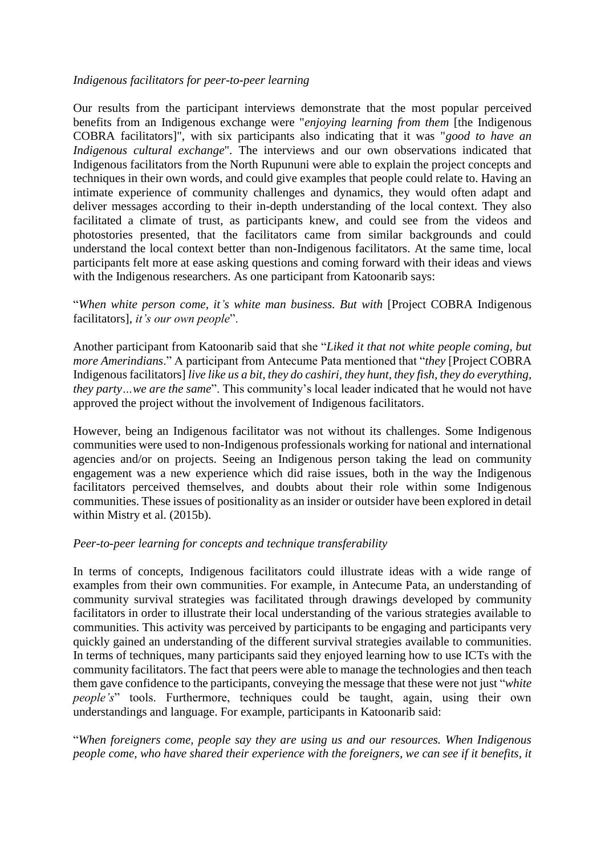#### *Indigenous facilitators for peer-to-peer learning*

Our results from the participant interviews demonstrate that the most popular perceived benefits from an Indigenous exchange were "*enjoying learning from them* [the Indigenous COBRA facilitators]", with six participants also indicating that it was "*good to have an Indigenous cultural exchange*". The interviews and our own observations indicated that Indigenous facilitators from the North Rupununi were able to explain the project concepts and techniques in their own words, and could give examples that people could relate to. Having an intimate experience of community challenges and dynamics, they would often adapt and deliver messages according to their in-depth understanding of the local context. They also facilitated a climate of trust, as participants knew, and could see from the videos and photostories presented, that the facilitators came from similar backgrounds and could understand the local context better than non-Indigenous facilitators. At the same time, local participants felt more at ease asking questions and coming forward with their ideas and views with the Indigenous researchers. As one participant from Katoonarib says:

### "*When white person come, it's white man business. But with* [Project COBRA Indigenous facilitators], *it's our own people*".

Another participant from Katoonarib said that she "*Liked it that not white people coming, but more Amerindians*." A participant from Antecume Pata mentioned that "*they* [Project COBRA Indigenous facilitators] *live like us a bit, they do cashiri, they hunt, they fish, they do everything, they party…we are the same*". This community's local leader indicated that he would not have approved the project without the involvement of Indigenous facilitators.

However, being an Indigenous facilitator was not without its challenges. Some Indigenous communities were used to non-Indigenous professionals working for national and international agencies and/or on projects. Seeing an Indigenous person taking the lead on community engagement was a new experience which did raise issues, both in the way the Indigenous facilitators perceived themselves, and doubts about their role within some Indigenous communities. These issues of positionality as an insider or outsider have been explored in detail within Mistry et al. (2015b).

#### *Peer-to-peer learning for concepts and technique transferability*

In terms of concepts, Indigenous facilitators could illustrate ideas with a wide range of examples from their own communities. For example, in Antecume Pata, an understanding of community survival strategies was facilitated through drawings developed by community facilitators in order to illustrate their local understanding of the various strategies available to communities. This activity was perceived by participants to be engaging and participants very quickly gained an understanding of the different survival strategies available to communities. In terms of techniques, many participants said they enjoyed learning how to use ICTs with the community facilitators. The fact that peers were able to manage the technologies and then teach them gave confidence to the participants, conveying the message that these were not just "*white people's*" tools. Furthermore, techniques could be taught, again, using their own understandings and language. For example, participants in Katoonarib said:

"*When foreigners come, people say they are using us and our resources. When Indigenous people come, who have shared their experience with the foreigners, we can see if it benefits, it*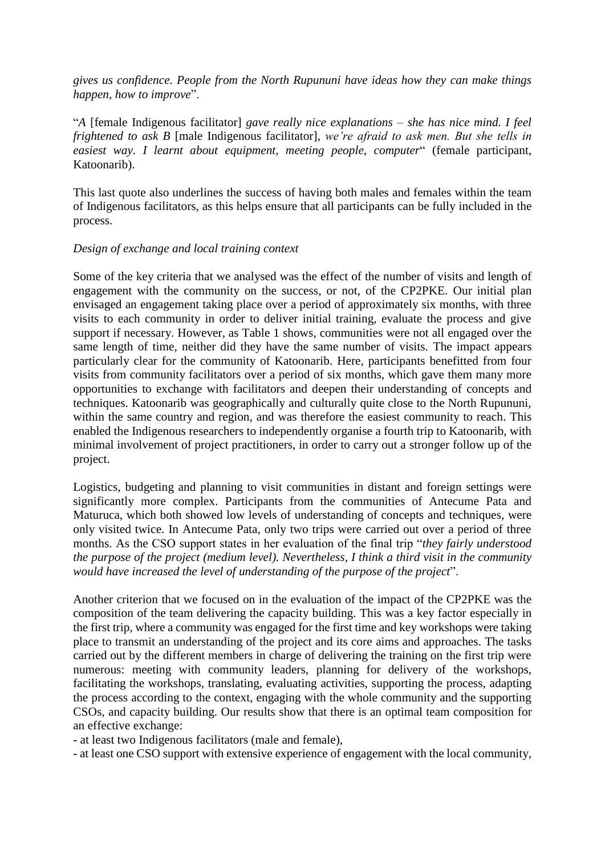*gives us confidence. People from the North Rupununi have ideas how they can make things happen, how to improve*".

"*A* [female Indigenous facilitator] *gave really nice explanations – she has nice mind. I feel frightened to ask B* [male Indigenous facilitator], *we're afraid to ask men. But she tells in easiest way. I learnt about equipment, meeting people, computer*" (female participant, Katoonarib).

This last quote also underlines the success of having both males and females within the team of Indigenous facilitators, as this helps ensure that all participants can be fully included in the process.

#### *Design of exchange and local training context*

Some of the key criteria that we analysed was the effect of the number of visits and length of engagement with the community on the success, or not, of the CP2PKE. Our initial plan envisaged an engagement taking place over a period of approximately six months, with three visits to each community in order to deliver initial training, evaluate the process and give support if necessary. However, as Table 1 shows, communities were not all engaged over the same length of time, neither did they have the same number of visits. The impact appears particularly clear for the community of Katoonarib. Here, participants benefitted from four visits from community facilitators over a period of six months, which gave them many more opportunities to exchange with facilitators and deepen their understanding of concepts and techniques. Katoonarib was geographically and culturally quite close to the North Rupununi, within the same country and region, and was therefore the easiest community to reach. This enabled the Indigenous researchers to independently organise a fourth trip to Katoonarib, with minimal involvement of project practitioners, in order to carry out a stronger follow up of the project.

Logistics, budgeting and planning to visit communities in distant and foreign settings were significantly more complex. Participants from the communities of Antecume Pata and Maturuca, which both showed low levels of understanding of concepts and techniques, were only visited twice. In Antecume Pata, only two trips were carried out over a period of three months. As the CSO support states in her evaluation of the final trip "*they fairly understood the purpose of the project (medium level). Nevertheless, I think a third visit in the community would have increased the level of understanding of the purpose of the project*".

Another criterion that we focused on in the evaluation of the impact of the CP2PKE was the composition of the team delivering the capacity building. This was a key factor especially in the first trip, where a community was engaged for the first time and key workshops were taking place to transmit an understanding of the project and its core aims and approaches. The tasks carried out by the different members in charge of delivering the training on the first trip were numerous: meeting with community leaders, planning for delivery of the workshops, facilitating the workshops, translating, evaluating activities, supporting the process, adapting the process according to the context, engaging with the whole community and the supporting CSOs, and capacity building. Our results show that there is an optimal team composition for an effective exchange:

- at least two Indigenous facilitators (male and female),

- at least one CSO support with extensive experience of engagement with the local community,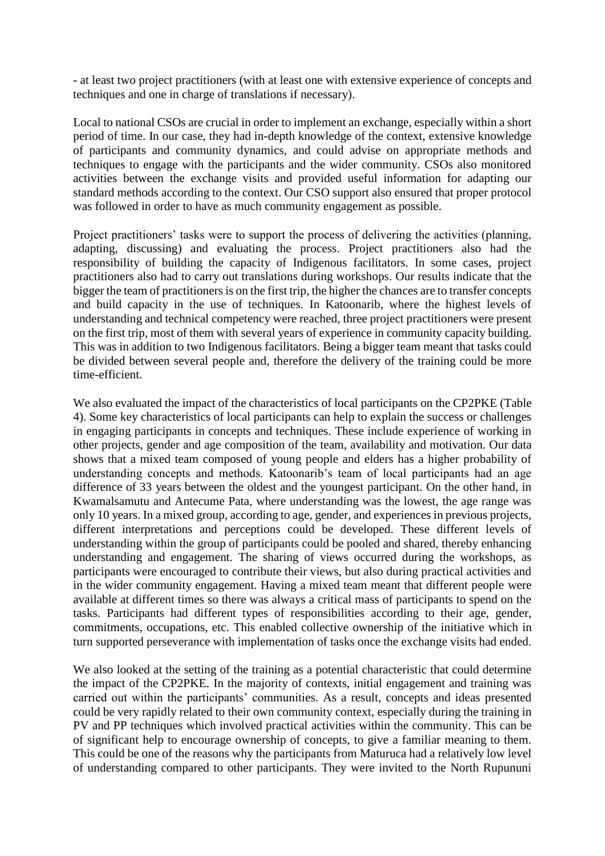- at least two project practitioners (with at least one with extensive experience of concepts and techniques and one in charge of translations if necessary).

Local to national CSOs are crucial in order to implement an exchange, especially within a short period of time. In our case, they had in-depth knowledge of the context, extensive knowledge of participants and community dynamics, and could advise on appropriate methods and techniques to engage with the participants and the wider community. CSOs also monitored activities between the exchange visits and provided useful information for adapting our standard methods according to the context. Our CSO support also ensured that proper protocol was followed in order to have as much community engagement as possible.

Project practitioners' tasks were to support the process of delivering the activities (planning, adapting, discussing) and evaluating the process. Project practitioners also had the responsibility of building the capacity of Indigenous facilitators. In some cases, project practitioners also had to carry out translations during workshops. Our results indicate that the bigger the team of practitioners is on the first trip, the higher the chances are to transfer concepts and build capacity in the use of techniques. In Katoonarib, where the highest levels of understanding and technical competency were reached, three project practitioners were present on the first trip, most of them with several years of experience in community capacity building. This was in addition to two Indigenous facilitators. Being a bigger team meant that tasks could be divided between several people and, therefore the delivery of the training could be more time-efficient.

We also evaluated the impact of the characteristics of local participants on the CP2PKE (Table 4). Some key characteristics of local participants can help to explain the success or challenges in engaging participants in concepts and techniques. These include experience of working in other projects, gender and age composition of the team, availability and motivation. Our data shows that a mixed team composed of young people and elders has a higher probability of understanding concepts and methods. Katoonarib's team of local participants had an age difference of 33 years between the oldest and the youngest participant. On the other hand, in Kwamalsamutu and Antecume Pata, where understanding was the lowest, the age range was only 10 years. In a mixed group, according to age, gender, and experiences in previous projects, different interpretations and perceptions could be developed. These different levels of understanding within the group of participants could be pooled and shared, thereby enhancing understanding and engagement. The sharing of views occurred during the workshops, as participants were encouraged to contribute their views, but also during practical activities and in the wider community engagement. Having a mixed team meant that different people were available at different times so there was always a critical mass of participants to spend on the tasks. Participants had different types of responsibilities according to their age, gender, commitments, occupations, etc. This enabled collective ownership of the initiative which in turn supported perseverance with implementation of tasks once the exchange visits had ended.

We also looked at the setting of the training as a potential characteristic that could determine the impact of the CP2PKE. In the majority of contexts, initial engagement and training was carried out within the participants' communities. As a result, concepts and ideas presented could be very rapidly related to their own community context, especially during the training in PV and PP techniques which involved practical activities within the community. This can be of significant help to encourage ownership of concepts, to give a familiar meaning to them. This could be one of the reasons why the participants from Maturuca had a relatively low level of understanding compared to other participants. They were invited to the North Rupununi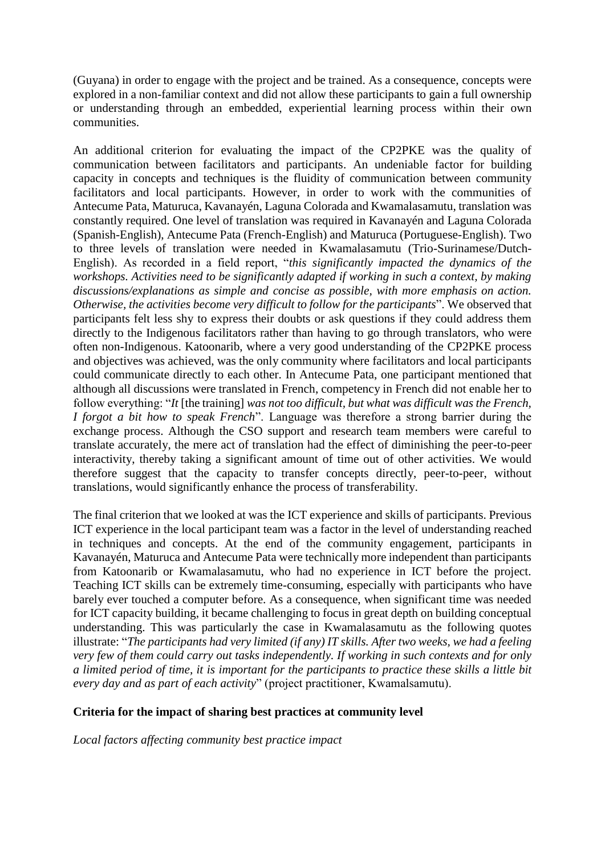(Guyana) in order to engage with the project and be trained. As a consequence, concepts were explored in a non-familiar context and did not allow these participants to gain a full ownership or understanding through an embedded, experiential learning process within their own communities.

An additional criterion for evaluating the impact of the CP2PKE was the quality of communication between facilitators and participants. An undeniable factor for building capacity in concepts and techniques is the fluidity of communication between community facilitators and local participants. However, in order to work with the communities of Antecume Pata, Maturuca, Kavanayén, Laguna Colorada and Kwamalasamutu, translation was constantly required. One level of translation was required in Kavanayén and Laguna Colorada (Spanish-English), Antecume Pata (French-English) and Maturuca (Portuguese-English). Two to three levels of translation were needed in Kwamalasamutu (Trio-Surinamese/Dutch-English). As recorded in a field report, "*this significantly impacted the dynamics of the workshops. Activities need to be significantly adapted if working in such a context, by making discussions/explanations as simple and concise as possible, with more emphasis on action. Otherwise, the activities become very difficult to follow for the participants*". We observed that participants felt less shy to express their doubts or ask questions if they could address them directly to the Indigenous facilitators rather than having to go through translators, who were often non-Indigenous. Katoonarib, where a very good understanding of the CP2PKE process and objectives was achieved, was the only community where facilitators and local participants could communicate directly to each other. In Antecume Pata, one participant mentioned that although all discussions were translated in French, competency in French did not enable her to follow everything: "*It* [the training] *was not too difficult, but what was difficult was the French, I forgot a bit how to speak French*". Language was therefore a strong barrier during the exchange process. Although the CSO support and research team members were careful to translate accurately, the mere act of translation had the effect of diminishing the peer-to-peer interactivity, thereby taking a significant amount of time out of other activities. We would therefore suggest that the capacity to transfer concepts directly, peer-to-peer, without translations, would significantly enhance the process of transferability.

The final criterion that we looked at was the ICT experience and skills of participants. Previous ICT experience in the local participant team was a factor in the level of understanding reached in techniques and concepts. At the end of the community engagement, participants in Kavanayén, Maturuca and Antecume Pata were technically more independent than participants from Katoonarib or Kwamalasamutu, who had no experience in ICT before the project. Teaching ICT skills can be extremely time-consuming, especially with participants who have barely ever touched a computer before. As a consequence, when significant time was needed for ICT capacity building, it became challenging to focus in great depth on building conceptual understanding. This was particularly the case in Kwamalasamutu as the following quotes illustrate: "*The participants had very limited (if any) IT skills. After two weeks, we had a feeling very few of them could carry out tasks independently. If working in such contexts and for only a limited period of time, it is important for the participants to practice these skills a little bit every day and as part of each activity*" (project practitioner, Kwamalsamutu).

#### **Criteria for the impact of sharing best practices at community level**

*Local factors affecting community best practice impact*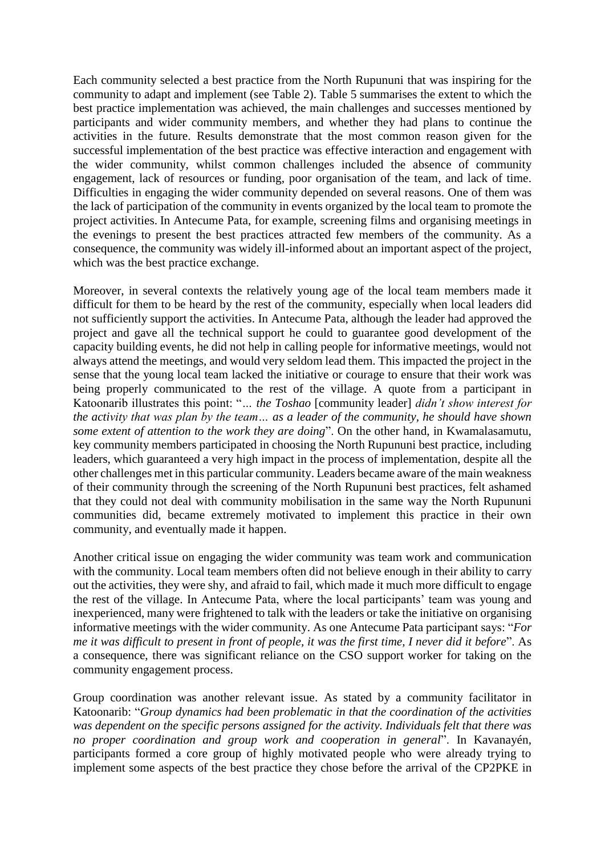Each community selected a best practice from the North Rupununi that was inspiring for the community to adapt and implement (see Table 2). Table 5 summarises the extent to which the best practice implementation was achieved, the main challenges and successes mentioned by participants and wider community members, and whether they had plans to continue the activities in the future. Results demonstrate that the most common reason given for the successful implementation of the best practice was effective interaction and engagement with the wider community, whilst common challenges included the absence of community engagement, lack of resources or funding, poor organisation of the team, and lack of time. Difficulties in engaging the wider community depended on several reasons. One of them was the lack of participation of the community in events organized by the local team to promote the project activities. In Antecume Pata, for example, screening films and organising meetings in the evenings to present the best practices attracted few members of the community. As a consequence, the community was widely ill-informed about an important aspect of the project, which was the best practice exchange.

Moreover, in several contexts the relatively young age of the local team members made it difficult for them to be heard by the rest of the community, especially when local leaders did not sufficiently support the activities. In Antecume Pata, although the leader had approved the project and gave all the technical support he could to guarantee good development of the capacity building events, he did not help in calling people for informative meetings, would not always attend the meetings, and would very seldom lead them. This impacted the project in the sense that the young local team lacked the initiative or courage to ensure that their work was being properly communicated to the rest of the village. A quote from a participant in Katoonarib illustrates this point: "*… the Toshao* [community leader] *didn't show interest for the activity that was plan by the team… as a leader of the community, he should have shown some extent of attention to the work they are doing*". On the other hand, in Kwamalasamutu, key community members participated in choosing the North Rupununi best practice, including leaders, which guaranteed a very high impact in the process of implementation, despite all the other challenges met in this particular community. Leaders became aware of the main weakness of their community through the screening of the North Rupununi best practices, felt ashamed that they could not deal with community mobilisation in the same way the North Rupununi communities did, became extremely motivated to implement this practice in their own community, and eventually made it happen.

Another critical issue on engaging the wider community was team work and communication with the community. Local team members often did not believe enough in their ability to carry out the activities, they were shy, and afraid to fail, which made it much more difficult to engage the rest of the village. In Antecume Pata, where the local participants' team was young and inexperienced, many were frightened to talk with the leaders or take the initiative on organising informative meetings with the wider community. As one Antecume Pata participant says: "*For me it was difficult to present in front of people, it was the first time, I never did it before*". As a consequence, there was significant reliance on the CSO support worker for taking on the community engagement process.

Group coordination was another relevant issue. As stated by a community facilitator in Katoonarib: "*Group dynamics had been problematic in that the coordination of the activities was dependent on the specific persons assigned for the activity. Individuals felt that there was no proper coordination and group work and cooperation in general*". In Kavanayén, participants formed a core group of highly motivated people who were already trying to implement some aspects of the best practice they chose before the arrival of the CP2PKE in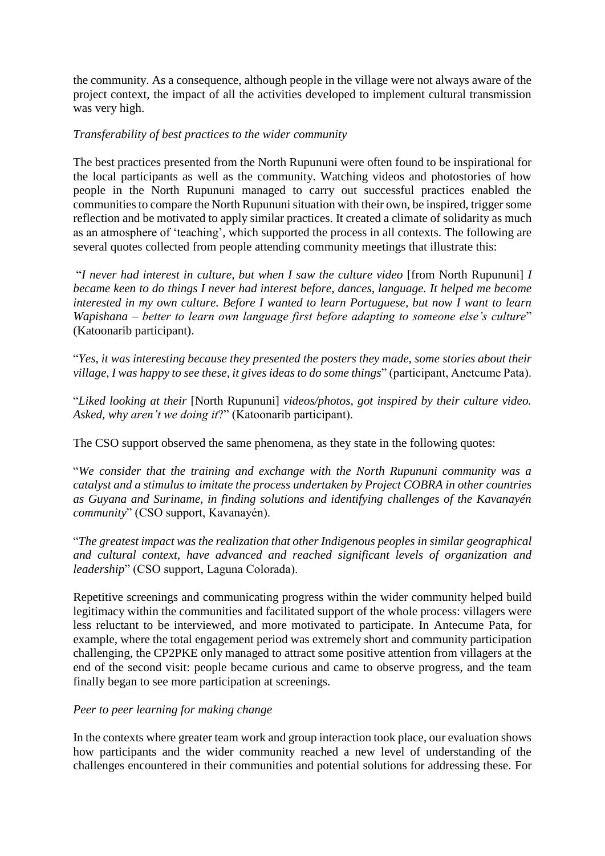the community. As a consequence, although people in the village were not always aware of the project context, the impact of all the activities developed to implement cultural transmission was very high.

### *Transferability of best practices to the wider community*

The best practices presented from the North Rupununi were often found to be inspirational for the local participants as well as the community. Watching videos and photostories of how people in the North Rupununi managed to carry out successful practices enabled the communities to compare the North Rupununi situation with their own, be inspired, trigger some reflection and be motivated to apply similar practices. It created a climate of solidarity as much as an atmosphere of 'teaching', which supported the process in all contexts. The following are several quotes collected from people attending community meetings that illustrate this:

"*I never had interest in culture, but when I saw the culture video* [from North Rupununi] *I became keen to do things I never had interest before, dances, language. It helped me become interested in my own culture. Before I wanted to learn Portuguese, but now I want to learn Wapishana – better to learn own language first before adapting to someone else's culture*" (Katoonarib participant).

"*Yes, it was interesting because they presented the posters they made, some stories about their village, I was happy to see these, it gives ideas to do some things*" (participant, Anetcume Pata).

"*Liked looking at their* [North Rupununi] *videos/photos, got inspired by their culture video. Asked, why aren't we doing it*?" (Katoonarib participant).

The CSO support observed the same phenomena, as they state in the following quotes:

"*We consider that the training and exchange with the North Rupununi community was a catalyst and a stimulus to imitate the process undertaken by Project COBRA in other countries as Guyana and Suriname, in finding solutions and identifying challenges of the Kavanayén community*" (CSO support, Kavanayén).

"*The greatest impact was the realization that other Indigenous peoples in similar geographical and cultural context, have advanced and reached significant levels of organization and leadership*" (CSO support, Laguna Colorada).

Repetitive screenings and communicating progress within the wider community helped build legitimacy within the communities and facilitated support of the whole process: villagers were less reluctant to be interviewed, and more motivated to participate. In Antecume Pata, for example, where the total engagement period was extremely short and community participation challenging, the CP2PKE only managed to attract some positive attention from villagers at the end of the second visit: people became curious and came to observe progress, and the team finally began to see more participation at screenings.

# *Peer to peer learning for making change*

In the contexts where greater team work and group interaction took place, our evaluation shows how participants and the wider community reached a new level of understanding of the challenges encountered in their communities and potential solutions for addressing these. For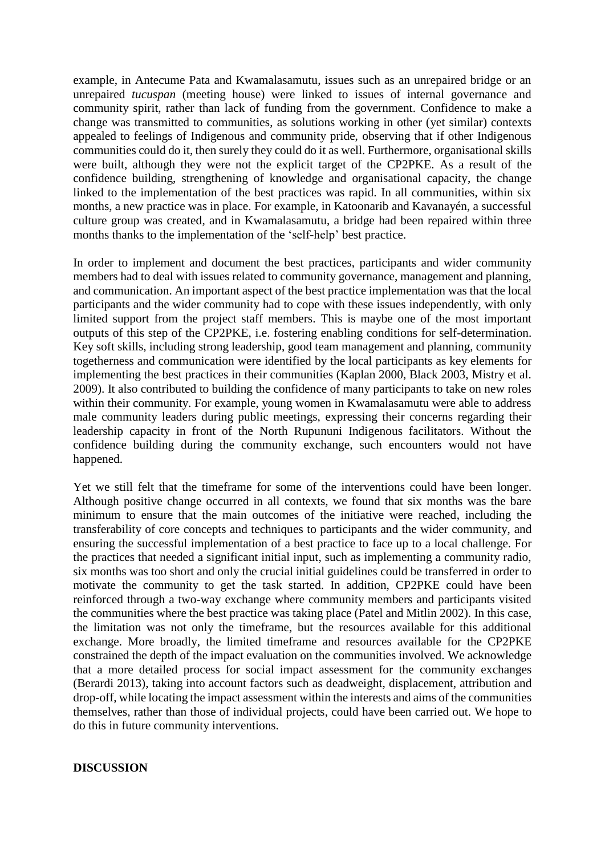example, in Antecume Pata and Kwamalasamutu, issues such as an unrepaired bridge or an unrepaired *tucuspan* (meeting house) were linked to issues of internal governance and community spirit, rather than lack of funding from the government. Confidence to make a change was transmitted to communities, as solutions working in other (yet similar) contexts appealed to feelings of Indigenous and community pride, observing that if other Indigenous communities could do it, then surely they could do it as well. Furthermore, organisational skills were built, although they were not the explicit target of the CP2PKE. As a result of the confidence building, strengthening of knowledge and organisational capacity, the change linked to the implementation of the best practices was rapid. In all communities, within six months, a new practice was in place. For example, in Katoonarib and Kavanayén, a successful culture group was created, and in Kwamalasamutu, a bridge had been repaired within three months thanks to the implementation of the 'self-help' best practice.

In order to implement and document the best practices, participants and wider community members had to deal with issues related to community governance, management and planning, and communication. An important aspect of the best practice implementation was that the local participants and the wider community had to cope with these issues independently, with only limited support from the project staff members. This is maybe one of the most important outputs of this step of the CP2PKE, i.e. fostering enabling conditions for self-determination. Key soft skills, including strong leadership, good team management and planning, community togetherness and communication were identified by the local participants as key elements for implementing the best practices in their communities (Kaplan 2000, Black 2003, Mistry et al. 2009). It also contributed to building the confidence of many participants to take on new roles within their community. For example, young women in Kwamalasamutu were able to address male community leaders during public meetings, expressing their concerns regarding their leadership capacity in front of the North Rupununi Indigenous facilitators. Without the confidence building during the community exchange, such encounters would not have happened.

Yet we still felt that the timeframe for some of the interventions could have been longer. Although positive change occurred in all contexts, we found that six months was the bare minimum to ensure that the main outcomes of the initiative were reached, including the transferability of core concepts and techniques to participants and the wider community, and ensuring the successful implementation of a best practice to face up to a local challenge. For the practices that needed a significant initial input, such as implementing a community radio, six months was too short and only the crucial initial guidelines could be transferred in order to motivate the community to get the task started. In addition, CP2PKE could have been reinforced through a two-way exchange where community members and participants visited the communities where the best practice was taking place (Patel and Mitlin 2002). In this case, the limitation was not only the timeframe, but the resources available for this additional exchange. More broadly, the limited timeframe and resources available for the CP2PKE constrained the depth of the impact evaluation on the communities involved. We acknowledge that a more detailed process for social impact assessment for the community exchanges (Berardi 2013), taking into account factors such as deadweight, displacement, attribution and drop-off, while locating the impact assessment within the interests and aims of the communities themselves, rather than those of individual projects, could have been carried out. We hope to do this in future community interventions.

#### **DISCUSSION**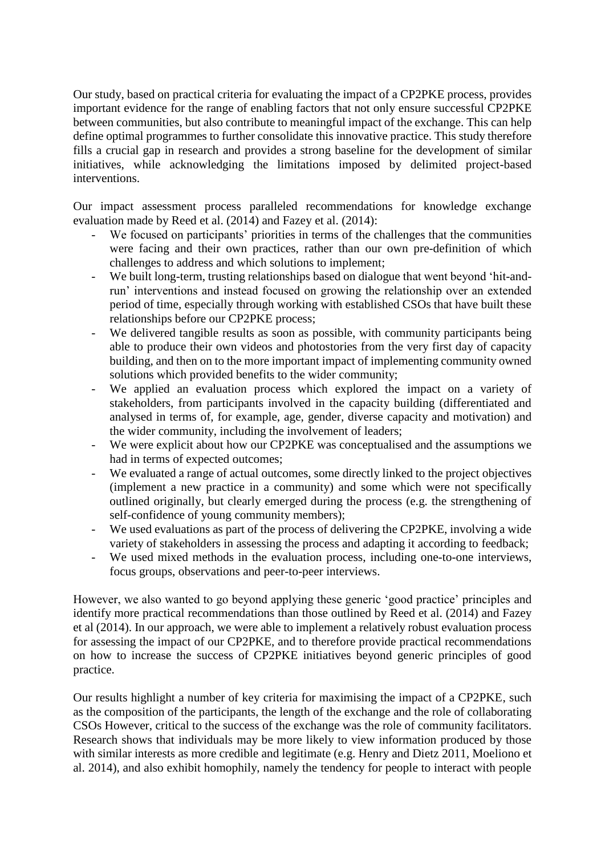Our study, based on practical criteria for evaluating the impact of a CP2PKE process, provides important evidence for the range of enabling factors that not only ensure successful CP2PKE between communities, but also contribute to meaningful impact of the exchange. This can help define optimal programmes to further consolidate this innovative practice. This study therefore fills a crucial gap in research and provides a strong baseline for the development of similar initiatives, while acknowledging the limitations imposed by delimited project-based interventions.

Our impact assessment process paralleled recommendations for knowledge exchange evaluation made by Reed et al. (2014) and Fazey et al. (2014):

- We focused on participants' priorities in terms of the challenges that the communities were facing and their own practices, rather than our own pre-definition of which challenges to address and which solutions to implement;
- We built long-term, trusting relationships based on dialogue that went beyond 'hit-andrun' interventions and instead focused on growing the relationship over an extended period of time, especially through working with established CSOs that have built these relationships before our CP2PKE process;
- We delivered tangible results as soon as possible, with community participants being able to produce their own videos and photostories from the very first day of capacity building, and then on to the more important impact of implementing community owned solutions which provided benefits to the wider community;
- We applied an evaluation process which explored the impact on a variety of stakeholders, from participants involved in the capacity building (differentiated and analysed in terms of, for example, age, gender, diverse capacity and motivation) and the wider community, including the involvement of leaders;
- We were explicit about how our CP2PKE was conceptualised and the assumptions we had in terms of expected outcomes;
- We evaluated a range of actual outcomes, some directly linked to the project objectives (implement a new practice in a community) and some which were not specifically outlined originally, but clearly emerged during the process (e.g. the strengthening of self-confidence of young community members);
- We used evaluations as part of the process of delivering the CP2PKE, involving a wide variety of stakeholders in assessing the process and adapting it according to feedback;
- We used mixed methods in the evaluation process, including one-to-one interviews, focus groups, observations and peer-to-peer interviews.

However, we also wanted to go beyond applying these generic 'good practice' principles and identify more practical recommendations than those outlined by Reed et al. (2014) and Fazey et al (2014). In our approach, we were able to implement a relatively robust evaluation process for assessing the impact of our CP2PKE, and to therefore provide practical recommendations on how to increase the success of CP2PKE initiatives beyond generic principles of good practice.

Our results highlight a number of key criteria for maximising the impact of a CP2PKE, such as the composition of the participants, the length of the exchange and the role of collaborating CSOs However, critical to the success of the exchange was the role of community facilitators. Research shows that individuals may be more likely to view information produced by those with similar interests as more credible and legitimate (e.g. Henry and Dietz 2011, Moeliono et al. 2014), and also exhibit homophily, namely the tendency for people to interact with people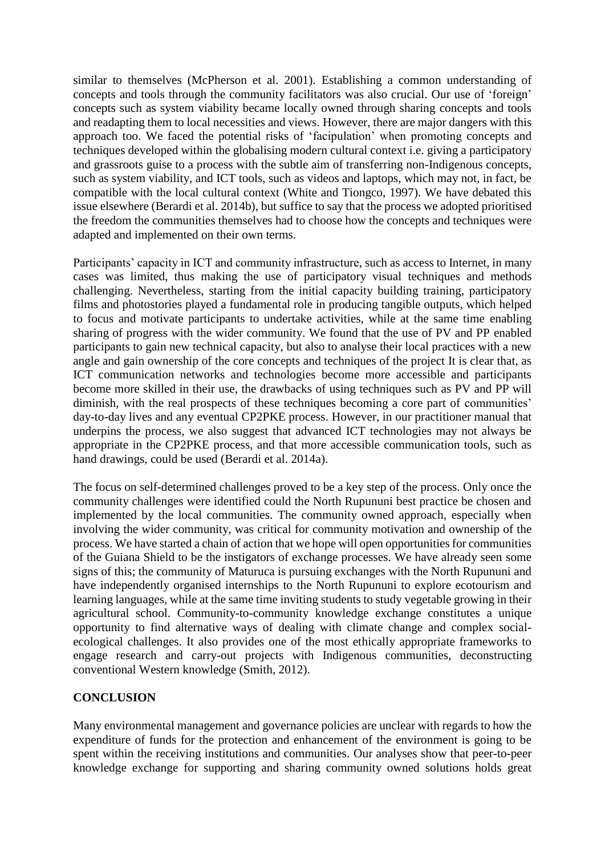similar to themselves (McPherson et al. 2001). Establishing a common understanding of concepts and tools through the community facilitators was also crucial. Our use of 'foreign' concepts such as system viability became locally owned through sharing concepts and tools and readapting them to local necessities and views. However, there are major dangers with this approach too. We faced the potential risks of 'facipulation' when promoting concepts and techniques developed within the globalising modern cultural context i.e. giving a participatory and grassroots guise to a process with the subtle aim of transferring non-Indigenous concepts, such as system viability, and ICT tools, such as videos and laptops, which may not, in fact, be compatible with the local cultural context (White and Tiongco, 1997). We have debated this issue elsewhere (Berardi et al. 2014b), but suffice to say that the process we adopted prioritised the freedom the communities themselves had to choose how the concepts and techniques were adapted and implemented on their own terms.

Participants' capacity in ICT and community infrastructure, such as access to Internet, in many cases was limited, thus making the use of participatory visual techniques and methods challenging. Nevertheless, starting from the initial capacity building training, participatory films and photostories played a fundamental role in producing tangible outputs, which helped to focus and motivate participants to undertake activities, while at the same time enabling sharing of progress with the wider community. We found that the use of PV and PP enabled participants to gain new technical capacity, but also to analyse their local practices with a new angle and gain ownership of the core concepts and techniques of the project It is clear that, as ICT communication networks and technologies become more accessible and participants become more skilled in their use, the drawbacks of using techniques such as PV and PP will diminish, with the real prospects of these techniques becoming a core part of communities' day-to-day lives and any eventual CP2PKE process. However, in our practitioner manual that underpins the process, we also suggest that advanced ICT technologies may not always be appropriate in the CP2PKE process, and that more accessible communication tools, such as hand drawings, could be used (Berardi et al. 2014a).

The focus on self-determined challenges proved to be a key step of the process. Only once the community challenges were identified could the North Rupununi best practice be chosen and implemented by the local communities. The community owned approach, especially when involving the wider community, was critical for community motivation and ownership of the process. We have started a chain of action that we hope will open opportunities for communities of the Guiana Shield to be the instigators of exchange processes. We have already seen some signs of this; the community of Maturuca is pursuing exchanges with the North Rupununi and have independently organised internships to the North Rupununi to explore ecotourism and learning languages, while at the same time inviting students to study vegetable growing in their agricultural school. Community-to-community knowledge exchange constitutes a unique opportunity to find alternative ways of dealing with climate change and complex socialecological challenges. It also provides one of the most ethically appropriate frameworks to engage research and carry-out projects with Indigenous communities, deconstructing conventional Western knowledge (Smith, 2012).

# **CONCLUSION**

Many environmental management and governance policies are unclear with regards to how the expenditure of funds for the protection and enhancement of the environment is going to be spent within the receiving institutions and communities. Our analyses show that peer-to-peer knowledge exchange for supporting and sharing community owned solutions holds great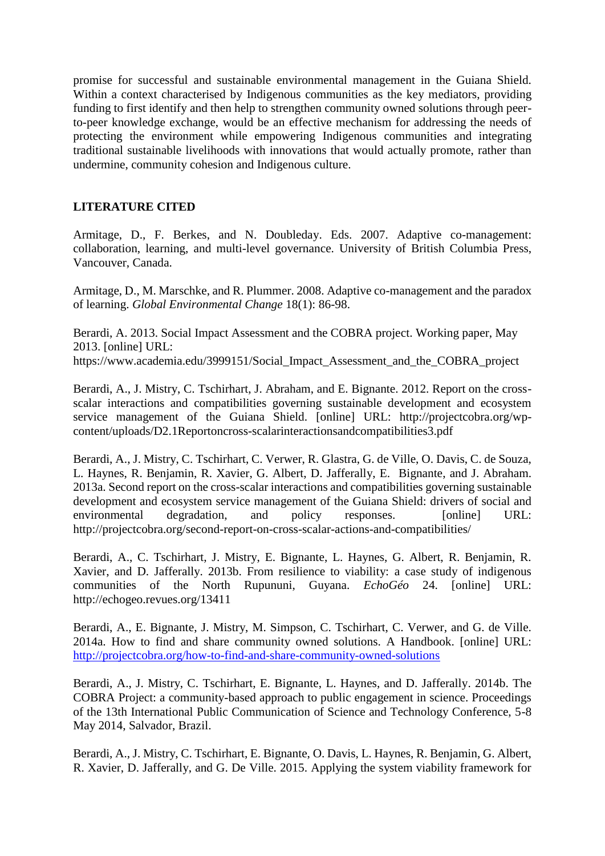promise for successful and sustainable environmental management in the Guiana Shield. Within a context characterised by Indigenous communities as the key mediators, providing funding to first identify and then help to strengthen community owned solutions through peerto-peer knowledge exchange, would be an effective mechanism for addressing the needs of protecting the environment while empowering Indigenous communities and integrating traditional sustainable livelihoods with innovations that would actually promote, rather than undermine, community cohesion and Indigenous culture.

# **LITERATURE CITED**

Armitage, D., F. Berkes, and N. Doubleday. Eds. 2007. Adaptive co-management: collaboration, learning, and multi-level governance. University of British Columbia Press, Vancouver, Canada.

Armitage, D., M. Marschke, and R. Plummer. 2008. Adaptive co-management and the paradox of learning. *Global Environmental Change* 18(1): 86-98.

Berardi, A. 2013. Social Impact Assessment and the COBRA project. Working paper, May 2013. [online] URL: https://www.academia.edu/3999151/Social\_Impact\_Assessment\_and\_the\_COBRA\_project

Berardi, A., J. Mistry, C. Tschirhart, J. Abraham, and E. Bignante. 2012. Report on the crossscalar interactions and compatibilities governing sustainable development and ecosystem service management of the Guiana Shield. [online] URL: http://projectcobra.org/wpcontent/uploads/D2.1Reportoncross-scalarinteractionsandcompatibilities3.pdf

Berardi, A., J. Mistry, C. Tschirhart, C. Verwer, R. Glastra, G. de Ville, O. Davis, C. de Souza, L. Haynes, R. Benjamin, R. Xavier, G. Albert, D. Jafferally, E. Bignante, and J. Abraham. 2013a. Second report on the cross-scalar interactions and compatibilities governing sustainable development and ecosystem service management of the Guiana Shield: drivers of social and environmental degradation, and policy responses. [online] URL: http://projectcobra.org/second-report-on-cross-scalar-actions-and-compatibilities/

Berardi, A., C. Tschirhart, J. Mistry, E. Bignante, L. Haynes, G. Albert, R. Benjamin, R. Xavier, and D. Jafferally. 2013b. From resilience to viability: a case study of indigenous communities of the North Rupununi, Guyana. *EchoGéo* 24. [online] URL: http://echogeo.revues.org/13411

Berardi, A., E. Bignante, J. Mistry, M. Simpson, C. Tschirhart, C. Verwer, and G. de Ville. 2014a. How to find and share community owned solutions. A Handbook. [online] URL: <http://projectcobra.org/how-to-find-and-share-community-owned-solutions>

Berardi, A., J. Mistry, C. Tschirhart, E. Bignante, L. Haynes, and D. Jafferally. 2014b. The COBRA Project: a community-based approach to public engagement in science. Proceedings of the 13th International Public Communication of Science and Technology Conference, 5-8 May 2014, Salvador, Brazil.

Berardi, A., J. Mistry, C. Tschirhart, E. Bignante, O. Davis, L. Haynes, R. Benjamin, G. Albert, R. Xavier, D. Jafferally, and G. De Ville. 2015. Applying the system viability framework for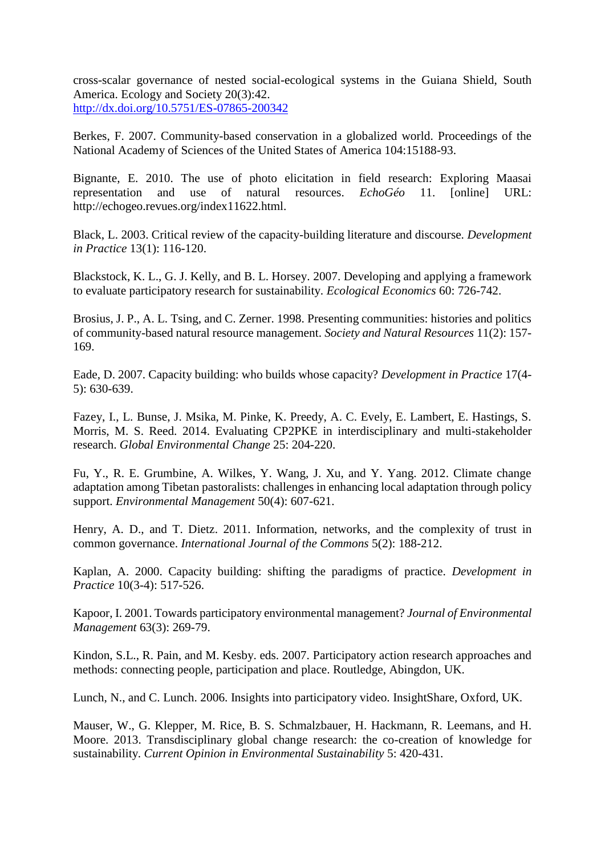cross-scalar governance of nested social-ecological systems in the Guiana Shield, South America. Ecology and Society 20(3):42. <http://dx.doi.org/10.5751/ES-07865-200342>

Berkes, F. 2007. Community-based conservation in a globalized world. Proceedings of the National Academy of Sciences of the United States of America 104:15188-93.

Bignante, E. 2010. The use of photo elicitation in field research: Exploring Maasai representation and use of natural resources. *EchoGéo* 11. [online] URL: http://echogeo.revues.org/index11622.html.

Black, L. 2003. Critical review of the capacity-building literature and discourse. *Development in Practice* 13(1): 116-120.

Blackstock, K. L., G. J. Kelly, and B. L. Horsey. 2007. Developing and applying a framework to evaluate participatory research for sustainability. *Ecological Economics* 60: 726-742.

Brosius, J. P., A. L. Tsing, and C. Zerner. 1998. Presenting communities: histories and politics of community-based natural resource management. *Society and Natural Resources* 11(2): 157- 169.

Eade, D. 2007. Capacity building: who builds whose capacity? *Development in Practice* 17(4- 5): 630-639.

Fazey, I., L. Bunse, J. Msika, M. Pinke, K. Preedy, A. C. Evely, E. Lambert, E. Hastings, S. Morris, M. S. Reed. 2014. Evaluating CP2PKE in interdisciplinary and multi-stakeholder research. *Global Environmental Change* 25: 204-220.

Fu, Y., R. E. Grumbine, A. Wilkes, Y. Wang, J. Xu, and Y. Yang. 2012. Climate change adaptation among Tibetan pastoralists: challenges in enhancing local adaptation through policy support. *Environmental Management* 50(4): 607-621.

Henry, A. D., and T. Dietz. 2011. Information, networks, and the complexity of trust in common governance. *International Journal of the Commons* 5(2): 188-212.

Kaplan, A. 2000. Capacity building: shifting the paradigms of practice. *Development in Practice* 10(3-4): 517-526.

Kapoor, I. 2001. Towards participatory environmental management? *Journal of Environmental Management* 63(3): 269-79.

Kindon, S.L., R. Pain, and M. Kesby. eds. 2007. Participatory action research approaches and methods: connecting people, participation and place. Routledge, Abingdon, UK.

Lunch, N., and C. Lunch. 2006. Insights into participatory video. InsightShare, Oxford, UK.

Mauser, W., G. Klepper, M. Rice, B. S. Schmalzbauer, H. Hackmann, R. Leemans, and H. Moore. 2013. Transdisciplinary global change research: the co-creation of knowledge for sustainability. *Current Opinion in Environmental Sustainability* 5: 420-431.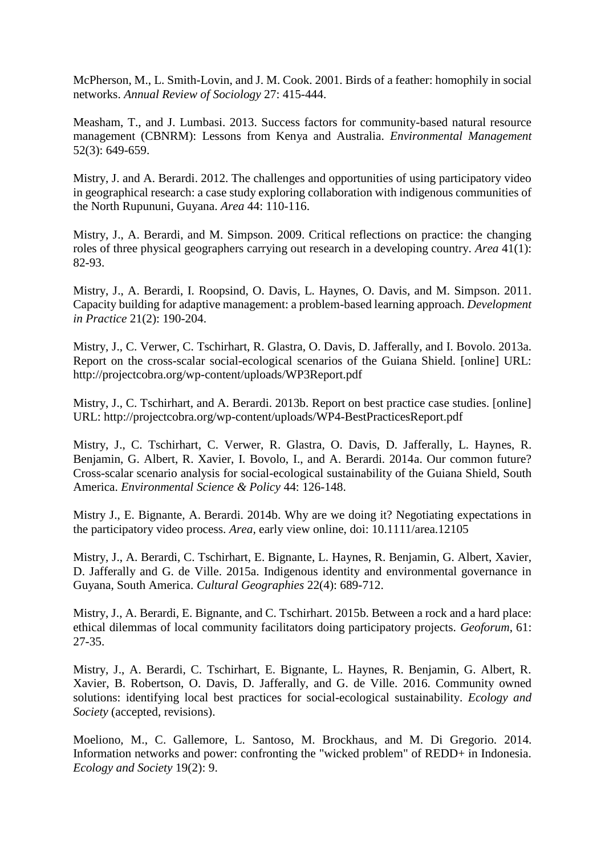McPherson, M., L. Smith-Lovin, and J. M. Cook. 2001. Birds of a feather: homophily in social networks. *Annual Review of Sociology* 27: 415-444.

Measham, T., and J. Lumbasi. 2013. Success factors for community-based natural resource management (CBNRM): Lessons from Kenya and Australia. *Environmental Management* 52(3): 649-659.

Mistry, J. and A. Berardi. 2012. The challenges and opportunities of using participatory video in geographical research: a case study exploring collaboration with indigenous communities of the North Rupununi, Guyana. *Area* 44: 110-116.

Mistry, J., A. Berardi, and M. Simpson. 2009. Critical reflections on practice: the changing roles of three physical geographers carrying out research in a developing country. *Area* 41(1): 82-93.

Mistry, J., A. Berardi, I. Roopsind, O. Davis, L. Haynes, O. Davis, and M. Simpson. 2011. Capacity building for adaptive management: a problem-based learning approach. *Development in Practice* 21(2): 190-204.

Mistry, J., C. Verwer, C. Tschirhart, R. Glastra, O. Davis, D. Jafferally, and I. Bovolo. 2013a. Report on the cross-scalar social-ecological scenarios of the Guiana Shield. [online] URL: http://projectcobra.org/wp-content/uploads/WP3Report.pdf

Mistry, J., C. Tschirhart, and A. Berardi. 2013b. Report on best practice case studies. [online] URL: http://projectcobra.org/wp-content/uploads/WP4-BestPracticesReport.pdf

Mistry, J., C. Tschirhart, C. Verwer, R. Glastra, O. Davis, D. Jafferally, L. Haynes, R. Benjamin, G. Albert, R. Xavier, I. Bovolo, I., and A. Berardi. 2014a. Our common future? Cross-scalar scenario analysis for social-ecological sustainability of the Guiana Shield, South America. *Environmental Science & Policy* 44: 126-148.

Mistry J., E. Bignante, A. Berardi. 2014b. Why are we doing it? Negotiating expectations in the participatory video process. *Area,* early view online, doi: 10.1111/area.12105

Mistry, J., A. Berardi, C. Tschirhart, E. Bignante, L. Haynes, R. Benjamin, G. Albert, Xavier, D. Jafferally and G. de Ville. 2015a. Indigenous identity and environmental governance in Guyana, South America. *Cultural Geographies* 22(4): 689-712.

Mistry, J., A. Berardi, E. Bignante, and C. Tschirhart. 2015b. Between a rock and a hard place: ethical dilemmas of local community facilitators doing participatory projects. *Geoforum*, 61: 27-35.

Mistry, J., A. Berardi, C. Tschirhart, E. Bignante, L. Haynes, R. Benjamin, G. Albert, R. Xavier, B. Robertson, O. Davis, D. Jafferally, and G. de Ville. 2016. Community owned solutions: identifying local best practices for social-ecological sustainability. *Ecology and Society* (accepted, revisions).

Moeliono, M., C. Gallemore, L. Santoso, M. Brockhaus, and M. Di Gregorio. 2014. Information networks and power: confronting the "wicked problem" of REDD+ in Indonesia. *Ecology and Society* 19(2): 9.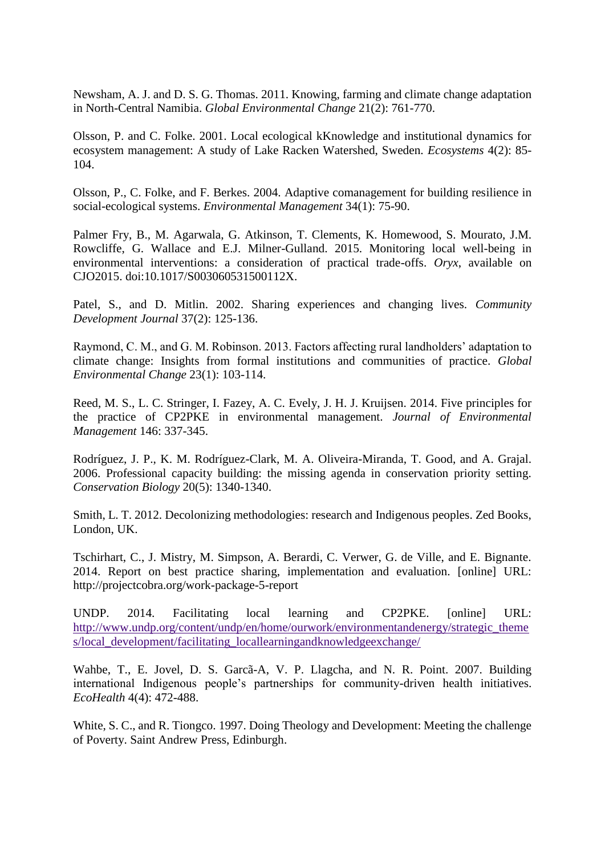Newsham, A. J. and D. S. G. Thomas. 2011. Knowing, farming and climate change adaptation in North-Central Namibia. *Global Environmental Change* 21(2): 761-770.

Olsson, P. and C. Folke. 2001. Local ecological kKnowledge and institutional dynamics for ecosystem management: A study of Lake Racken Watershed, Sweden. *Ecosystems* 4(2): 85- 104.

Olsson, P., C. Folke, and F. Berkes. 2004. Adaptive comanagement for building resilience in social-ecological systems. *Environmental Management* 34(1): 75-90.

Palmer Fry, B., M. Agarwala, G. Atkinson, T. Clements, K. Homewood, S. Mourato, J.M. Rowcliffe, G. Wallace and E.J. Milner-Gulland. 2015. Monitoring local well-being in environmental interventions: a consideration of practical trade-offs. *Oryx*, available on CJO2015. doi:10.1017/S003060531500112X.

Patel, S., and D. Mitlin. 2002. Sharing experiences and changing lives. *Community Development Journal* 37(2): 125-136.

Raymond, C. M., and G. M. Robinson. 2013. Factors affecting rural landholders' adaptation to climate change: Insights from formal institutions and communities of practice. *Global Environmental Change* 23(1): 103-114.

Reed, M. S., L. C. Stringer, I. Fazey, A. C. Evely, J. H. J. Kruijsen. 2014. Five principles for the practice of CP2PKE in environmental management. *Journal of Environmental Management* 146: 337-345.

Rodríguez, J. P., K. M. Rodríguez-Clark, M. A. Oliveira-Miranda, T. Good, and A. Grajal. 2006. Professional capacity building: the missing agenda in conservation priority setting. *Conservation Biology* 20(5): 1340-1340.

Smith, L. T. 2012. Decolonizing methodologies: research and Indigenous peoples. Zed Books, London, UK.

Tschirhart, C., J. Mistry, M. Simpson, A. Berardi, C. Verwer, G. de Ville, and E. Bignante. 2014. Report on best practice sharing, implementation and evaluation. [online] URL: http://projectcobra.org/work-package-5-report

UNDP. 2014. Facilitating local learning and CP2PKE. [online] URL: http://www.undp.org/content/undp/en/home/ourwork/environmentandenergy/strategic\_theme s/local\_development/facilitating\_locallearningandknowledgeexchange/

Wahbe, T., E. Jovel, D. S. Garcã-A, V. P. Llagcha, and N. R. Point. 2007. Building international Indigenous people's partnerships for community-driven health initiatives. *EcoHealth* 4(4): 472-488.

White, S. C., and R. Tiongco. 1997. Doing Theology and Development: Meeting the challenge of Poverty. Saint Andrew Press, Edinburgh.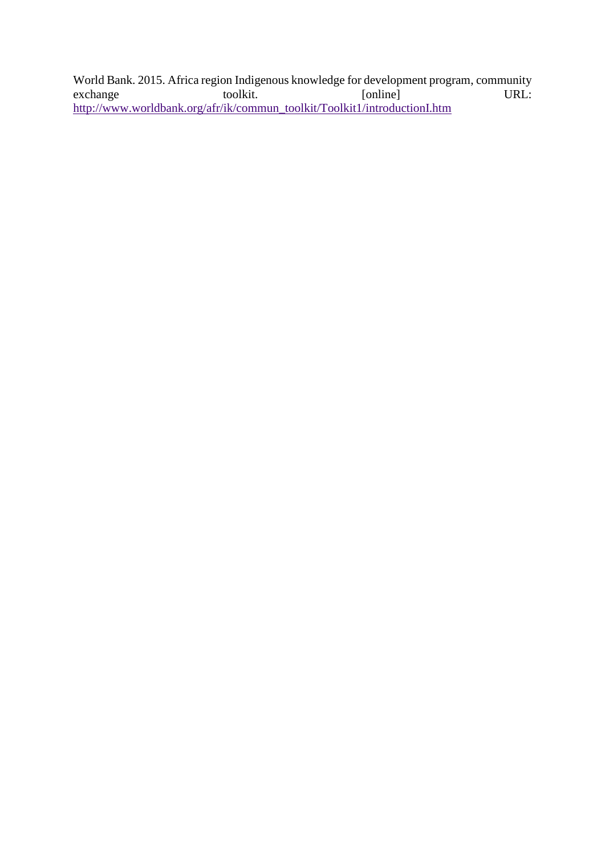World Bank. 2015. Africa region Indigenous knowledge for development program, community<br>exchange toolkit. [online] URL: exchange toolkit. [online] URL: http://www.worldbank.org/afr/ik/commun\_toolkit/Toolkit1/introductionI.htm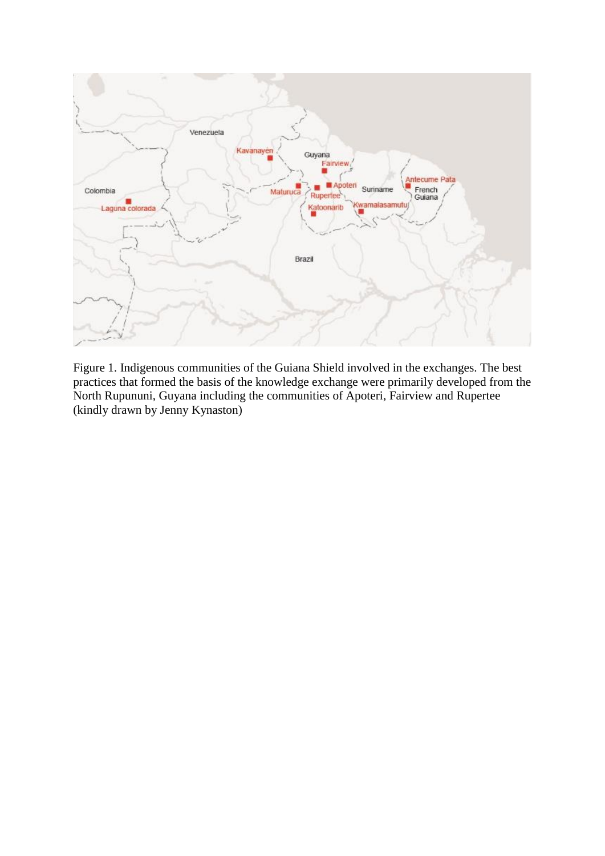

Figure 1. Indigenous communities of the Guiana Shield involved in the exchanges. The best practices that formed the basis of the knowledge exchange were primarily developed from the North Rupununi, Guyana including the communities of Apoteri, Fairview and Rupertee (kindly drawn by Jenny Kynaston)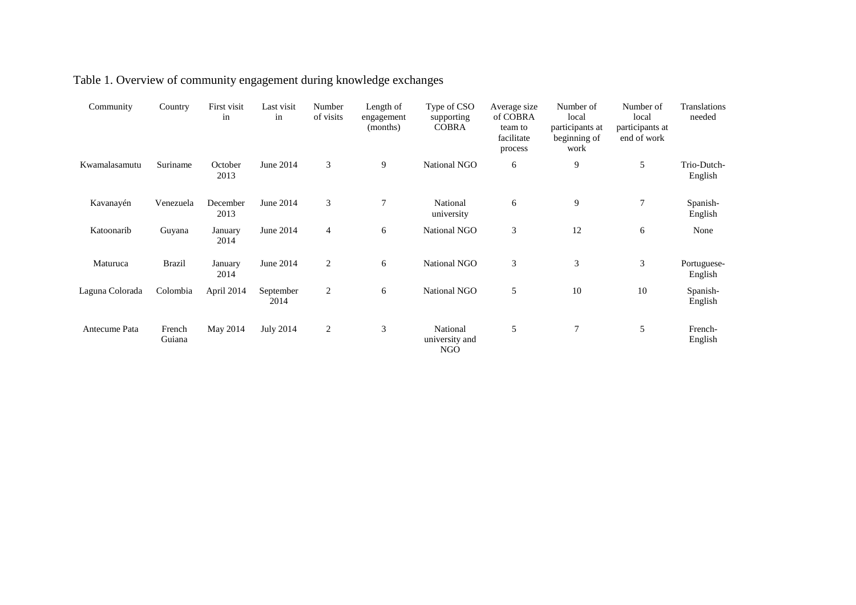| Community       | Country          | First visit<br>in | Last visit<br>in  | Number<br>of visits | Length of<br>engagement<br>(months) | Type of CSO<br>supporting<br><b>COBRA</b> | Average size<br>of COBRA<br>team to<br>facilitate<br>process | Number of<br>local<br>participants at<br>beginning of<br>work | Number of<br>local<br>participants at<br>end of work | Translations<br>needed |
|-----------------|------------------|-------------------|-------------------|---------------------|-------------------------------------|-------------------------------------------|--------------------------------------------------------------|---------------------------------------------------------------|------------------------------------------------------|------------------------|
| Kwamalasamutu   | Suriname         | October<br>2013   | June 2014         | 3                   | 9                                   | National NGO                              | 6                                                            | 9                                                             | 5                                                    | Trio-Dutch-<br>English |
| Kavanayén       | Venezuela        | December<br>2013  | June 2014         | 3                   | $\overline{7}$                      | National<br>university                    | 6                                                            | 9                                                             | $\tau$                                               | Spanish-<br>English    |
| Katoonarib      | Guyana           | January<br>2014   | June 2014         | 4                   | 6                                   | National NGO                              | 3                                                            | 12                                                            | 6                                                    | None                   |
| Maturuca        | <b>Brazil</b>    | January<br>2014   | June 2014         | 2                   | 6                                   | National NGO                              | 3                                                            | 3                                                             | 3                                                    | Portuguese-<br>English |
| Laguna Colorada | Colombia         | April 2014        | September<br>2014 | $\overline{2}$      | 6                                   | National NGO                              | 5                                                            | 10                                                            | 10                                                   | Spanish-<br>English    |
| Antecume Pata   | French<br>Guiana | May 2014          | <b>July 2014</b>  | 2                   | 3                                   | National<br>university and<br>NGO         | 5                                                            | $\overline{7}$                                                | 5                                                    | French-<br>English     |

# Table 1. Overview of community engagement during knowledge exchanges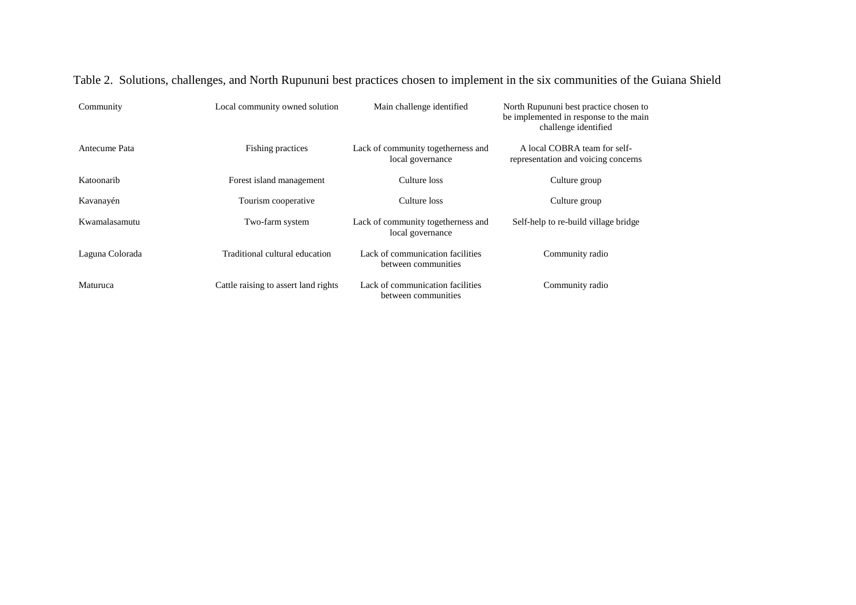| Community       | Local community owned solution       | Main challenge identified                               | North Rupununi best practice chosen to<br>be implemented in response to the main<br>challenge identified |
|-----------------|--------------------------------------|---------------------------------------------------------|----------------------------------------------------------------------------------------------------------|
| Antecume Pata   | Fishing practices                    | Lack of community togetherness and<br>local governance  | A local COBRA team for self-<br>representation and voicing concerns                                      |
| Katoonarib      | Forest island management             | Culture loss                                            | Culture group                                                                                            |
| Kavanayén       | Tourism cooperative                  | Culture loss                                            | Culture group                                                                                            |
| Kwamalasamutu   | Two-farm system                      | Lack of community togetherness and<br>local governance  | Self-help to re-build village bridge                                                                     |
| Laguna Colorada | Traditional cultural education       | Lack of communication facilities<br>between communities | Community radio                                                                                          |
| Maturuca        | Cattle raising to assert land rights | Lack of communication facilities<br>between communities | Community radio                                                                                          |

Table 2. Solutions, challenges, and North Rupununi best practices chosen to implement in the six communities of the Guiana Shield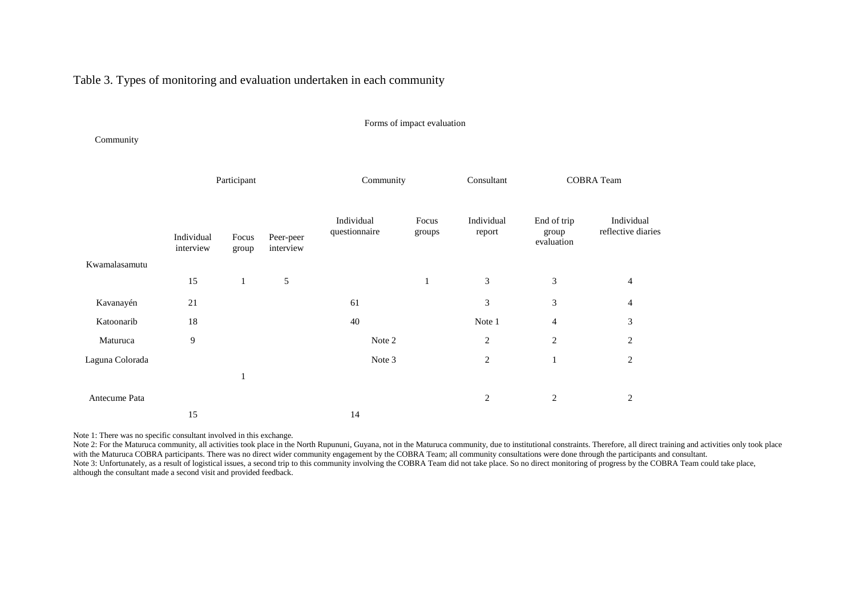Table 3. Types of monitoring and evaluation undertaken in each community

#### Forms of impact evaluation

Community

|                 | Participant             |                |                        | Community                   |                 | <b>COBRA</b> Team<br>Consultant |                                    |                                  |
|-----------------|-------------------------|----------------|------------------------|-----------------------------|-----------------|---------------------------------|------------------------------------|----------------------------------|
| Kwamalasamutu   | Individual<br>interview | Focus<br>group | Peer-peer<br>interview | Individual<br>questionnaire | Focus<br>groups | Individual<br>report            | End of trip<br>group<br>evaluation | Individual<br>reflective diaries |
|                 |                         |                |                        |                             |                 |                                 |                                    |                                  |
|                 | 15                      | $\mathbf{1}$   | $\sqrt{5}$             |                             | 1               | 3                               | 3                                  | $\overline{4}$                   |
| Kavanayén       | 21                      |                |                        | 61                          |                 | 3                               | 3                                  | $\overline{4}$                   |
| Katoonarib      | 18                      |                |                        | 40                          |                 | Note 1                          | $\overline{4}$                     | 3                                |
| Maturuca        | 9                       |                |                        | Note 2                      |                 | $\overline{2}$                  | $\overline{2}$                     | $\overline{2}$                   |
| Laguna Colorada |                         |                |                        | Note 3                      |                 | $\overline{c}$                  | $\mathbf{1}$                       | $\overline{c}$                   |
|                 |                         | 1              |                        |                             |                 |                                 |                                    |                                  |
| Antecume Pata   |                         |                |                        |                             |                 | $\overline{2}$                  | $\sqrt{2}$                         | $\overline{2}$                   |
|                 | 15                      |                |                        | 14                          |                 |                                 |                                    |                                  |

Note 1: There was no specific consultant involved in this exchange.

Note 2: For the Maturuca community, all activities took place in the North Rupununi, Guyana, not in the Maturuca community, due to institutional constraints. Therefore, all direct training and activities only took place with the Maturuca COBRA participants. There was no direct wider community engagement by the COBRA Team; all community consultations were done through the participants and consultant. Note 3: Unfortunately, as a result of logistical issues, a second trip to this community involving the COBRA Team did not take place. So no direct monitoring of progress by the COBRA Team could take place, although the consultant made a second visit and provided feedback.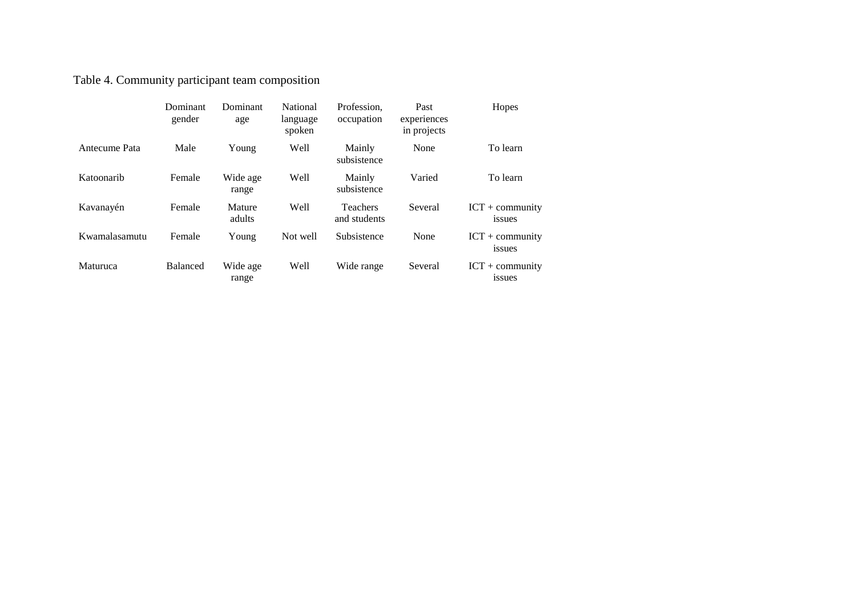Table 4. Community participant team composition

|               | Dominant<br>gender | Dominant<br>age   | <b>National</b><br>language<br>spoken | Profession.<br>occupation       | Past<br>experiences<br>in projects | Hopes                       |
|---------------|--------------------|-------------------|---------------------------------------|---------------------------------|------------------------------------|-----------------------------|
| Antecume Pata | Male               | Young             | Well                                  | Mainly<br>subsistence           | None                               | To learn                    |
| Katoonarib    | Female             | Wide age<br>range | Well                                  | Mainly<br>subsistence           | Varied                             | To learn                    |
| Kavanayén     | Female             | Mature<br>adults  | Well                                  | <b>Teachers</b><br>and students | Several                            | $ICT + community$<br>issues |
| Kwamalasamutu | Female             | Young             | Not well                              | Subsistence                     | None                               | $ICT + community$<br>issues |
| Maturuca      | <b>Balanced</b>    | Wide age<br>range | Well                                  | Wide range                      | Several                            | $ICT + community$<br>issues |